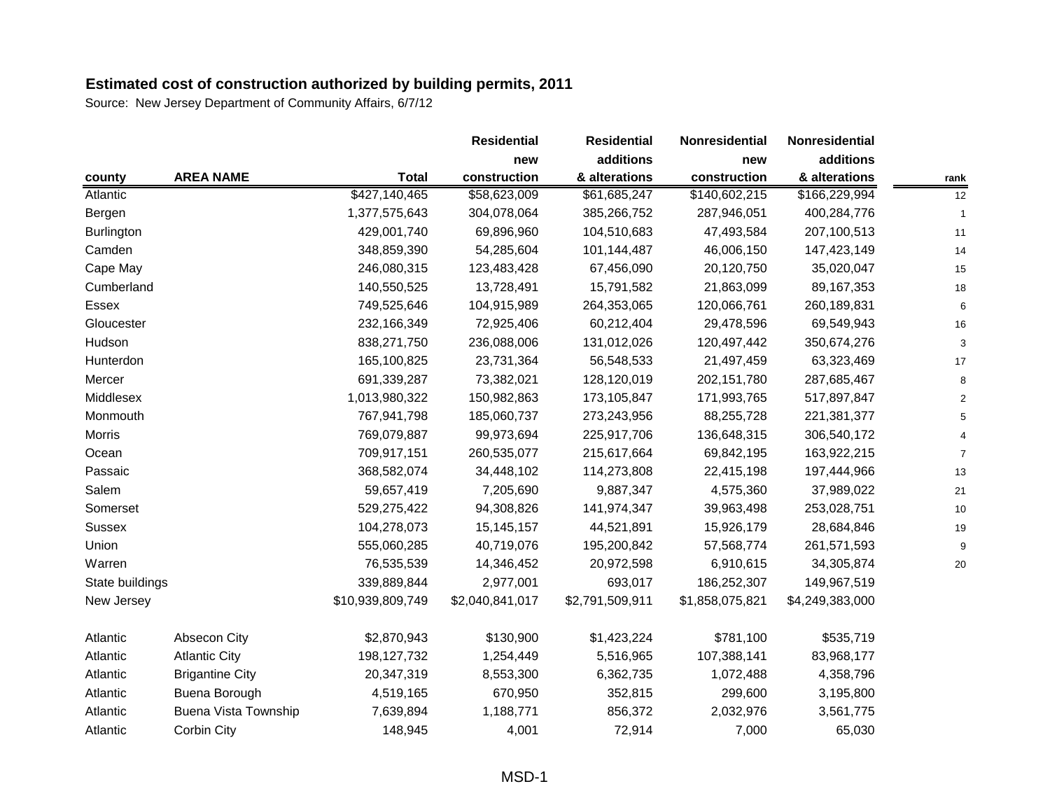|                   |                             |                  | <b>Residential</b> | <b>Residential</b> | Nonresidential  | Nonresidential  |      |
|-------------------|-----------------------------|------------------|--------------------|--------------------|-----------------|-----------------|------|
|                   |                             |                  | new                | additions          | new             | additions       |      |
| county            | <b>AREA NAME</b>            | <b>Total</b>     | construction       | & alterations      | construction    | & alterations   | rank |
| Atlantic          |                             | \$427,140,465    | \$58,623,009       | \$61,685,247       | \$140,602,215   | \$166,229,994   | 12   |
| Bergen            |                             | 1,377,575,643    | 304,078,064        | 385,266,752        | 287,946,051     | 400,284,776     |      |
| <b>Burlington</b> |                             | 429,001,740      | 69,896,960         | 104,510,683        | 47,493,584      | 207,100,513     | 11   |
| Camden            |                             | 348,859,390      | 54,285,604         | 101,144,487        | 46,006,150      | 147,423,149     | 14   |
| Cape May          |                             | 246,080,315      | 123,483,428        | 67,456,090         | 20,120,750      | 35,020,047      | 15   |
| Cumberland        |                             | 140,550,525      | 13,728,491         | 15,791,582         | 21,863,099      | 89, 167, 353    | 18   |
| Essex             |                             | 749,525,646      | 104,915,989        | 264,353,065        | 120,066,761     | 260,189,831     | 6    |
| Gloucester        |                             | 232,166,349      | 72,925,406         | 60,212,404         | 29,478,596      | 69,549,943      | 16   |
| Hudson            |                             | 838,271,750      | 236,088,006        | 131,012,026        | 120,497,442     | 350,674,276     |      |
| Hunterdon         |                             | 165,100,825      | 23,731,364         | 56,548,533         | 21,497,459      | 63,323,469      | 17   |
| Mercer            |                             | 691,339,287      | 73,382,021         | 128,120,019        | 202, 151, 780   | 287,685,467     |      |
| Middlesex         |                             | 1,013,980,322    | 150,982,863        | 173,105,847        | 171,993,765     | 517,897,847     |      |
| Monmouth          |                             | 767,941,798      | 185,060,737        | 273,243,956        | 88,255,728      | 221,381,377     |      |
| <b>Morris</b>     |                             | 769,079,887      | 99,973,694         | 225,917,706        | 136,648,315     | 306,540,172     |      |
| Ocean             |                             | 709,917,151      | 260,535,077        | 215,617,664        | 69,842,195      | 163,922,215     |      |
| Passaic           |                             | 368,582,074      | 34,448,102         | 114,273,808        | 22,415,198      | 197,444,966     | 13   |
| Salem             |                             | 59,657,419       | 7,205,690          | 9,887,347          | 4,575,360       | 37,989,022      | 21   |
| Somerset          |                             | 529,275,422      | 94,308,826         | 141,974,347        | 39,963,498      | 253,028,751     | 10   |
| <b>Sussex</b>     |                             | 104,278,073      | 15, 145, 157       | 44,521,891         | 15,926,179      | 28,684,846      | 19   |
| Union             |                             | 555,060,285      | 40,719,076         | 195,200,842        | 57,568,774      | 261,571,593     |      |
| Warren            |                             | 76,535,539       | 14,346,452         | 20,972,598         | 6,910,615       | 34,305,874      | 20   |
| State buildings   |                             | 339,889,844      | 2,977,001          | 693,017            | 186,252,307     | 149,967,519     |      |
| New Jersey        |                             | \$10,939,809,749 | \$2,040,841,017    | \$2,791,509,911    | \$1,858,075,821 | \$4,249,383,000 |      |
| Atlantic          | Absecon City                | \$2,870,943      | \$130,900          | \$1,423,224        | \$781,100       | \$535,719       |      |
| Atlantic          | <b>Atlantic City</b>        | 198, 127, 732    | 1,254,449          | 5,516,965          | 107,388,141     | 83,968,177      |      |
| Atlantic          | <b>Brigantine City</b>      | 20,347,319       | 8,553,300          | 6,362,735          | 1,072,488       | 4,358,796       |      |
| Atlantic          | Buena Borough               | 4,519,165        | 670,950            | 352,815            | 299,600         | 3,195,800       |      |
| Atlantic          | <b>Buena Vista Township</b> | 7,639,894        | 1,188,771          | 856,372            | 2,032,976       | 3,561,775       |      |
| Atlantic          | Corbin City                 | 148,945          | 4,001              | 72,914             | 7,000           | 65,030          |      |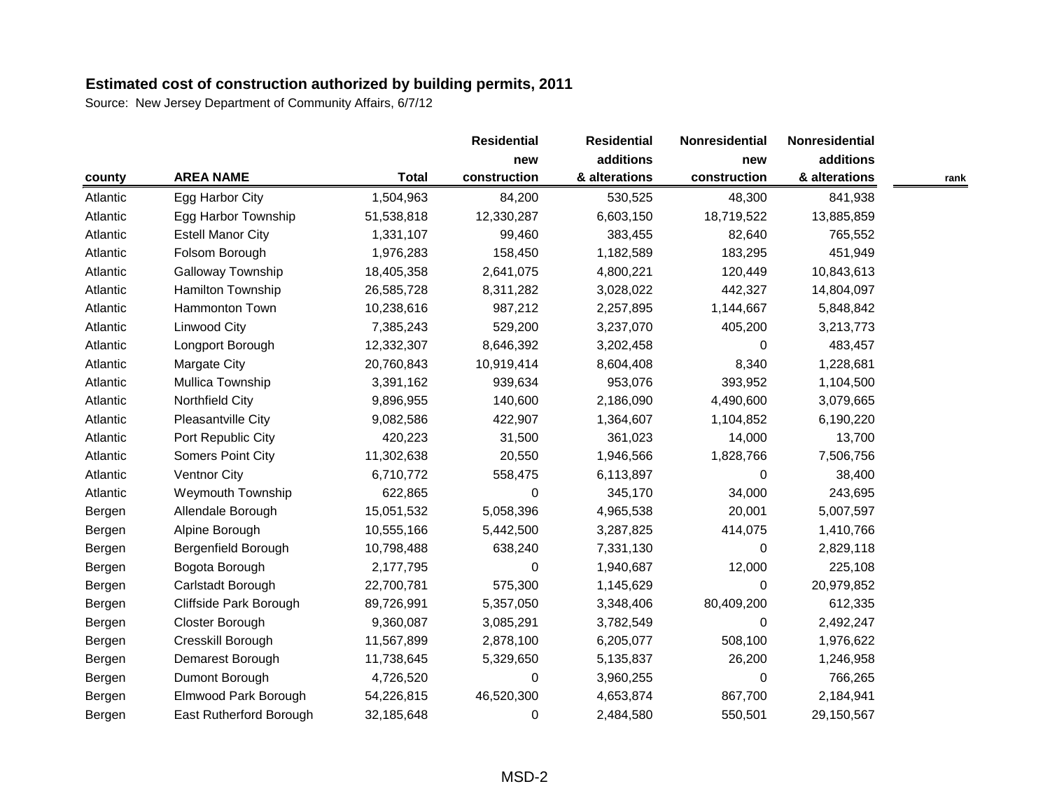|          |                          |              | <b>Residential</b> | <b>Residential</b>         | Nonresidential<br>new | Nonresidential |      |
|----------|--------------------------|--------------|--------------------|----------------------------|-----------------------|----------------|------|
|          |                          | <b>Total</b> | new                | additions<br>& alterations |                       | additions      |      |
| county   | <b>AREA NAME</b>         |              | construction       |                            | construction          | & alterations  | rank |
| Atlantic | Egg Harbor City          | 1,504,963    | 84,200             | 530,525                    | 48,300                | 841,938        |      |
| Atlantic | Egg Harbor Township      | 51,538,818   | 12,330,287         | 6,603,150                  | 18,719,522            | 13,885,859     |      |
| Atlantic | <b>Estell Manor City</b> | 1,331,107    | 99,460             | 383,455                    | 82,640                | 765,552        |      |
| Atlantic | Folsom Borough           | 1,976,283    | 158,450            | 1,182,589                  | 183,295               | 451,949        |      |
| Atlantic | Galloway Township        | 18,405,358   | 2,641,075          | 4,800,221                  | 120,449               | 10,843,613     |      |
| Atlantic | Hamilton Township        | 26,585,728   | 8,311,282          | 3,028,022                  | 442,327               | 14,804,097     |      |
| Atlantic | Hammonton Town           | 10,238,616   | 987,212            | 2,257,895                  | 1,144,667             | 5,848,842      |      |
| Atlantic | <b>Linwood City</b>      | 7,385,243    | 529,200            | 3,237,070                  | 405,200               | 3,213,773      |      |
| Atlantic | Longport Borough         | 12,332,307   | 8,646,392          | 3,202,458                  | $\Omega$              | 483,457        |      |
| Atlantic | Margate City             | 20,760,843   | 10,919,414         | 8,604,408                  | 8,340                 | 1,228,681      |      |
| Atlantic | Mullica Township         | 3,391,162    | 939,634            | 953,076                    | 393,952               | 1,104,500      |      |
| Atlantic | Northfield City          | 9,896,955    | 140,600            | 2,186,090                  | 4,490,600             | 3,079,665      |      |
| Atlantic | Pleasantville City       | 9,082,586    | 422,907            | 1,364,607                  | 1,104,852             | 6,190,220      |      |
| Atlantic | Port Republic City       | 420,223      | 31,500             | 361,023                    | 14,000                | 13,700         |      |
| Atlantic | Somers Point City        | 11,302,638   | 20,550             | 1,946,566                  | 1,828,766             | 7,506,756      |      |
| Atlantic | <b>Ventnor City</b>      | 6,710,772    | 558,475            | 6,113,897                  | $\Omega$              | 38,400         |      |
| Atlantic | <b>Weymouth Township</b> | 622,865      | 0                  | 345,170                    | 34,000                | 243,695        |      |
| Bergen   | Allendale Borough        | 15,051,532   | 5,058,396          | 4,965,538                  | 20,001                | 5,007,597      |      |
| Bergen   | Alpine Borough           | 10,555,166   | 5,442,500          | 3,287,825                  | 414,075               | 1,410,766      |      |
| Bergen   | Bergenfield Borough      | 10,798,488   | 638,240            | 7,331,130                  | $\Omega$              | 2,829,118      |      |
| Bergen   | Bogota Borough           | 2,177,795    | 0                  | 1,940,687                  | 12,000                | 225,108        |      |
| Bergen   | Carlstadt Borough        | 22,700,781   | 575,300            | 1,145,629                  | 0                     | 20,979,852     |      |
| Bergen   | Cliffside Park Borough   | 89,726,991   | 5,357,050          | 3,348,406                  | 80,409,200            | 612,335        |      |
| Bergen   | Closter Borough          | 9,360,087    | 3,085,291          | 3,782,549                  | 0                     | 2,492,247      |      |
| Bergen   | Cresskill Borough        | 11,567,899   | 2,878,100          | 6,205,077                  | 508,100               | 1,976,622      |      |
| Bergen   | Demarest Borough         | 11,738,645   | 5,329,650          | 5,135,837                  | 26,200                | 1,246,958      |      |
| Bergen   | Dumont Borough           | 4,726,520    | 0                  | 3,960,255                  | 0                     | 766,265        |      |
| Bergen   | Elmwood Park Borough     | 54,226,815   | 46,520,300         | 4,653,874                  | 867,700               | 2,184,941      |      |
| Bergen   | East Rutherford Borough  | 32,185,648   | 0                  | 2,484,580                  | 550,501               | 29,150,567     |      |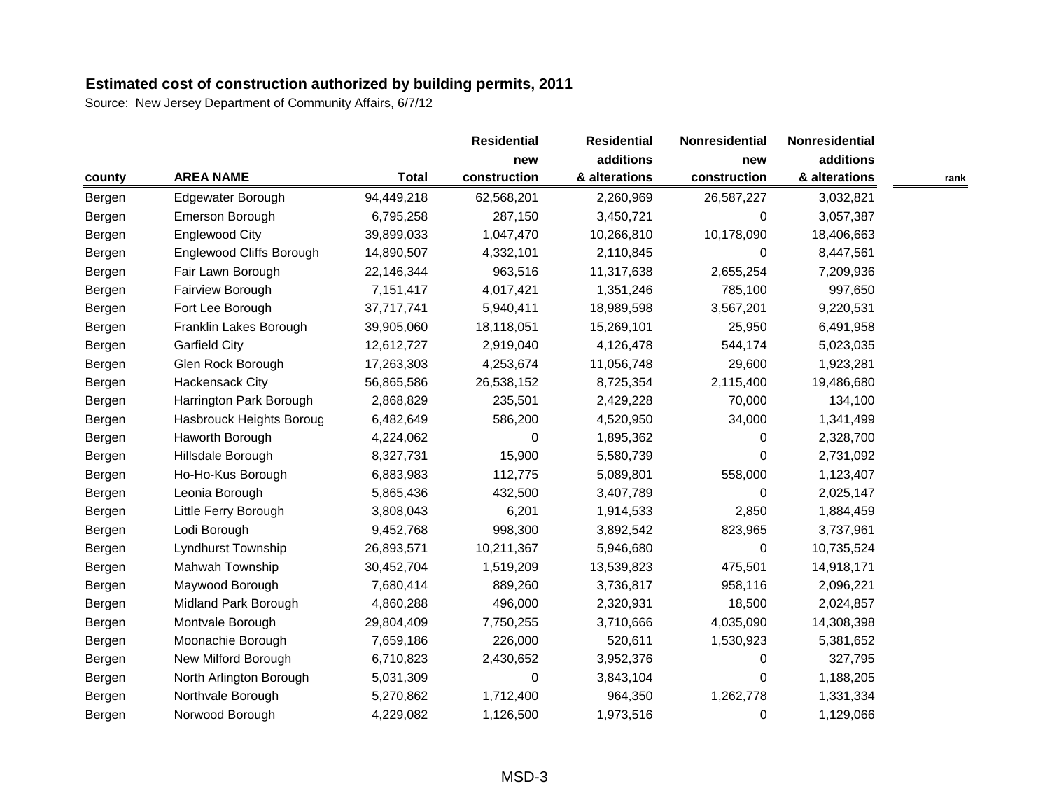|        |                          |              | <b>Residential</b> | <b>Residential</b> | Nonresidential<br>new | Nonresidential |      |
|--------|--------------------------|--------------|--------------------|--------------------|-----------------------|----------------|------|
|        |                          | <b>Total</b> | new                | additions          |                       | additions      |      |
| county | <b>AREA NAME</b>         |              | construction       | & alterations      | construction          | & alterations  | rank |
| Bergen | Edgewater Borough        | 94,449,218   | 62,568,201         | 2,260,969          | 26,587,227            | 3,032,821      |      |
| Bergen | Emerson Borough          | 6,795,258    | 287,150            | 3,450,721          | 0                     | 3,057,387      |      |
| Bergen | <b>Englewood City</b>    | 39,899,033   | 1,047,470          | 10,266,810         | 10,178,090            | 18,406,663     |      |
| Bergen | Englewood Cliffs Borough | 14,890,507   | 4,332,101          | 2,110,845          | $\Omega$              | 8,447,561      |      |
| Bergen | Fair Lawn Borough        | 22,146,344   | 963,516            | 11,317,638         | 2,655,254             | 7,209,936      |      |
| Bergen | Fairview Borough         | 7,151,417    | 4,017,421          | 1,351,246          | 785,100               | 997,650        |      |
| Bergen | Fort Lee Borough         | 37,717,741   | 5,940,411          | 18,989,598         | 3,567,201             | 9,220,531      |      |
| Bergen | Franklin Lakes Borough   | 39,905,060   | 18,118,051         | 15,269,101         | 25,950                | 6,491,958      |      |
| Bergen | <b>Garfield City</b>     | 12,612,727   | 2,919,040          | 4,126,478          | 544,174               | 5,023,035      |      |
| Bergen | Glen Rock Borough        | 17,263,303   | 4,253,674          | 11,056,748         | 29,600                | 1,923,281      |      |
| Bergen | Hackensack City          | 56,865,586   | 26,538,152         | 8,725,354          | 2,115,400             | 19,486,680     |      |
| Bergen | Harrington Park Borough  | 2,868,829    | 235,501            | 2,429,228          | 70,000                | 134,100        |      |
| Bergen | Hasbrouck Heights Boroug | 6,482,649    | 586,200            | 4,520,950          | 34,000                | 1,341,499      |      |
| Bergen | Haworth Borough          | 4,224,062    | 0                  | 1,895,362          | 0                     | 2,328,700      |      |
| Bergen | Hillsdale Borough        | 8,327,731    | 15,900             | 5,580,739          | $\Omega$              | 2,731,092      |      |
| Bergen | Ho-Ho-Kus Borough        | 6,883,983    | 112,775            | 5,089,801          | 558,000               | 1,123,407      |      |
| Bergen | Leonia Borough           | 5,865,436    | 432,500            | 3,407,789          | 0                     | 2,025,147      |      |
| Bergen | Little Ferry Borough     | 3,808,043    | 6,201              | 1,914,533          | 2,850                 | 1,884,459      |      |
| Bergen | Lodi Borough             | 9,452,768    | 998,300            | 3,892,542          | 823,965               | 3,737,961      |      |
| Bergen | Lyndhurst Township       | 26,893,571   | 10,211,367         | 5,946,680          | 0                     | 10,735,524     |      |
| Bergen | Mahwah Township          | 30,452,704   | 1,519,209          | 13,539,823         | 475,501               | 14,918,171     |      |
| Bergen | Maywood Borough          | 7,680,414    | 889,260            | 3,736,817          | 958,116               | 2,096,221      |      |
| Bergen | Midland Park Borough     | 4,860,288    | 496,000            | 2,320,931          | 18,500                | 2,024,857      |      |
| Bergen | Montvale Borough         | 29,804,409   | 7,750,255          | 3,710,666          | 4,035,090             | 14,308,398     |      |
| Bergen | Moonachie Borough        | 7,659,186    | 226,000            | 520,611            | 1,530,923             | 5,381,652      |      |
| Bergen | New Milford Borough      | 6,710,823    | 2,430,652          | 3,952,376          | 0                     | 327,795        |      |
| Bergen | North Arlington Borough  | 5,031,309    | 0                  | 3,843,104          | 0                     | 1,188,205      |      |
| Bergen | Northvale Borough        | 5,270,862    | 1,712,400          | 964,350            | 1,262,778             | 1,331,334      |      |
| Bergen | Norwood Borough          | 4,229,082    | 1,126,500          | 1,973,516          | 0                     | 1,129,066      |      |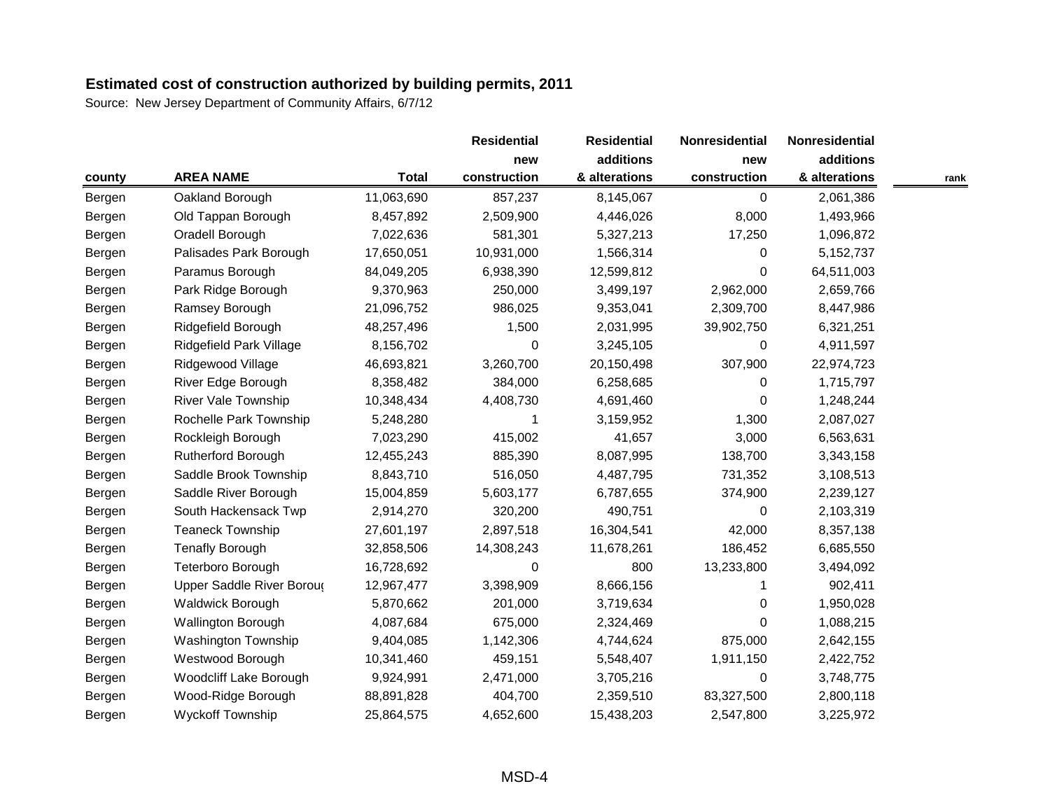|        |                            |              | <b>Residential</b> | <b>Residential</b><br>additions | Nonresidential<br>new | Nonresidential |      |
|--------|----------------------------|--------------|--------------------|---------------------------------|-----------------------|----------------|------|
|        |                            | <b>Total</b> | new                |                                 |                       | additions      |      |
| county | <b>AREA NAME</b>           |              | construction       | & alterations                   | construction          | & alterations  | rank |
| Bergen | Oakland Borough            | 11,063,690   | 857,237            | 8,145,067                       | 0                     | 2,061,386      |      |
| Bergen | Old Tappan Borough         | 8,457,892    | 2,509,900          | 4,446,026                       | 8,000                 | 1,493,966      |      |
| Bergen | Oradell Borough            | 7,022,636    | 581,301            | 5,327,213                       | 17,250                | 1,096,872      |      |
| Bergen | Palisades Park Borough     | 17,650,051   | 10,931,000         | 1,566,314                       | $\Omega$              | 5,152,737      |      |
| Bergen | Paramus Borough            | 84,049,205   | 6,938,390          | 12,599,812                      | $\Omega$              | 64,511,003     |      |
| Bergen | Park Ridge Borough         | 9,370,963    | 250,000            | 3,499,197                       | 2,962,000             | 2,659,766      |      |
| Bergen | Ramsey Borough             | 21,096,752   | 986,025            | 9,353,041                       | 2,309,700             | 8,447,986      |      |
| Bergen | Ridgefield Borough         | 48,257,496   | 1,500              | 2,031,995                       | 39,902,750            | 6,321,251      |      |
| Bergen | Ridgefield Park Village    | 8,156,702    | 0                  | 3,245,105                       | $\Omega$              | 4,911,597      |      |
| Bergen | Ridgewood Village          | 46,693,821   | 3,260,700          | 20,150,498                      | 307,900               | 22,974,723     |      |
| Bergen | River Edge Borough         | 8,358,482    | 384,000            | 6,258,685                       | $\Omega$              | 1,715,797      |      |
| Bergen | <b>River Vale Township</b> | 10,348,434   | 4,408,730          | 4,691,460                       | 0                     | 1,248,244      |      |
| Bergen | Rochelle Park Township     | 5,248,280    |                    | 3,159,952                       | 1,300                 | 2,087,027      |      |
| Bergen | Rockleigh Borough          | 7,023,290    | 415,002            | 41,657                          | 3,000                 | 6,563,631      |      |
| Bergen | Rutherford Borough         | 12,455,243   | 885,390            | 8,087,995                       | 138,700               | 3,343,158      |      |
| Bergen | Saddle Brook Township      | 8,843,710    | 516,050            | 4,487,795                       | 731,352               | 3,108,513      |      |
| Bergen | Saddle River Borough       | 15,004,859   | 5,603,177          | 6,787,655                       | 374,900               | 2,239,127      |      |
| Bergen | South Hackensack Twp       | 2,914,270    | 320,200            | 490,751                         | 0                     | 2,103,319      |      |
| Bergen | <b>Teaneck Township</b>    | 27,601,197   | 2,897,518          | 16,304,541                      | 42,000                | 8,357,138      |      |
| Bergen | <b>Tenafly Borough</b>     | 32,858,506   | 14,308,243         | 11,678,261                      | 186,452               | 6,685,550      |      |
| Bergen | Teterboro Borough          | 16,728,692   | 0                  | 800                             | 13,233,800            | 3,494,092      |      |
| Bergen | Upper Saddle River Boroug  | 12,967,477   | 3,398,909          | 8,666,156                       |                       | 902,411        |      |
| Bergen | Waldwick Borough           | 5,870,662    | 201,000            | 3,719,634                       | 0                     | 1,950,028      |      |
| Bergen | <b>Wallington Borough</b>  | 4,087,684    | 675,000            | 2,324,469                       | $\Omega$              | 1,088,215      |      |
| Bergen | <b>Washington Township</b> | 9,404,085    | 1,142,306          | 4,744,624                       | 875,000               | 2,642,155      |      |
| Bergen | Westwood Borough           | 10,341,460   | 459,151            | 5,548,407                       | 1,911,150             | 2,422,752      |      |
| Bergen | Woodcliff Lake Borough     | 9,924,991    | 2,471,000          | 3,705,216                       | 0                     | 3,748,775      |      |
| Bergen | Wood-Ridge Borough         | 88,891,828   | 404,700            | 2,359,510                       | 83,327,500            | 2,800,118      |      |
| Bergen | <b>Wyckoff Township</b>    | 25,864,575   | 4,652,600          | 15,438,203                      | 2,547,800             | 3,225,972      |      |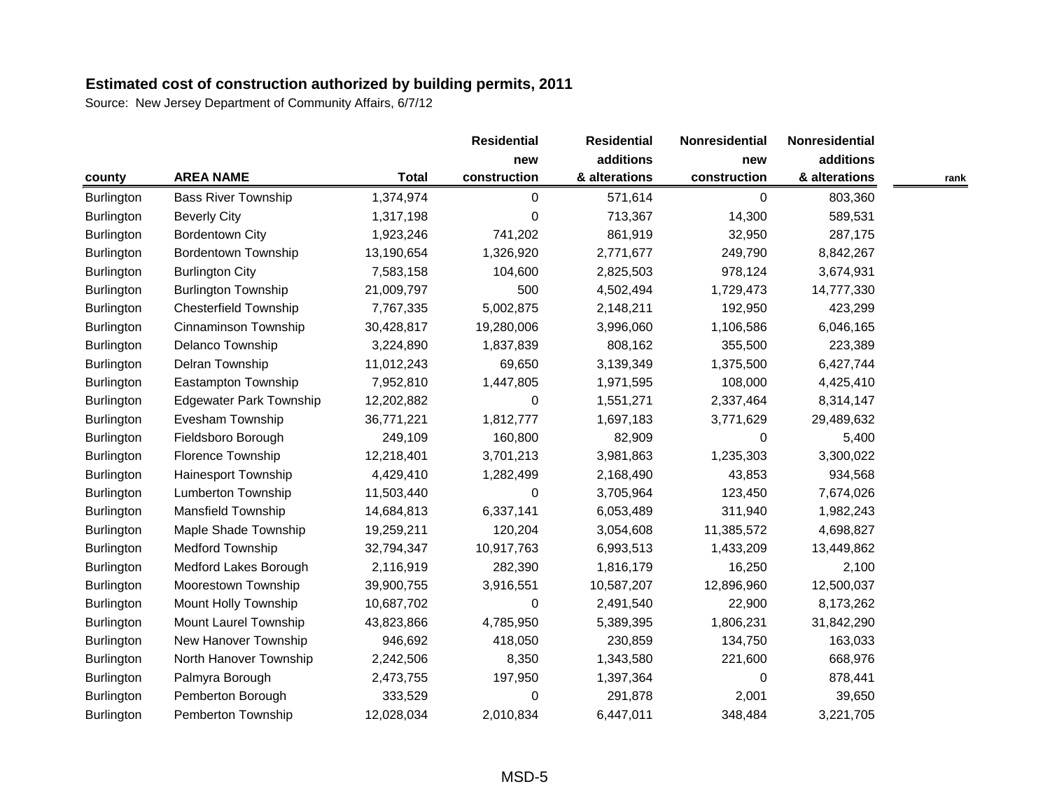|                   |                                |              | <b>Residential</b> | <b>Residential</b>         | Nonresidential<br>new | Nonresidential |      |
|-------------------|--------------------------------|--------------|--------------------|----------------------------|-----------------------|----------------|------|
|                   |                                | <b>Total</b> | new                | additions<br>& alterations |                       | additions      |      |
| county            | <b>AREA NAME</b>               |              | construction       |                            | construction          | & alterations  | rank |
| <b>Burlington</b> | <b>Bass River Township</b>     | 1,374,974    | 0                  | 571,614                    | 0                     | 803,360        |      |
| <b>Burlington</b> | <b>Beverly City</b>            | 1,317,198    | 0                  | 713,367                    | 14,300                | 589,531        |      |
| <b>Burlington</b> | <b>Bordentown City</b>         | 1,923,246    | 741,202            | 861,919                    | 32,950                | 287,175        |      |
| Burlington        | <b>Bordentown Township</b>     | 13,190,654   | 1,326,920          | 2,771,677                  | 249,790               | 8,842,267      |      |
| <b>Burlington</b> | <b>Burlington City</b>         | 7,583,158    | 104,600            | 2,825,503                  | 978,124               | 3,674,931      |      |
| <b>Burlington</b> | <b>Burlington Township</b>     | 21,009,797   | 500                | 4,502,494                  | 1,729,473             | 14,777,330     |      |
| <b>Burlington</b> | <b>Chesterfield Township</b>   | 7,767,335    | 5,002,875          | 2,148,211                  | 192,950               | 423,299        |      |
| Burlington        | Cinnaminson Township           | 30,428,817   | 19,280,006         | 3,996,060                  | 1,106,586             | 6,046,165      |      |
| <b>Burlington</b> | Delanco Township               | 3,224,890    | 1,837,839          | 808,162                    | 355,500               | 223,389        |      |
| Burlington        | Delran Township                | 11,012,243   | 69,650             | 3,139,349                  | 1,375,500             | 6,427,744      |      |
| Burlington        | Eastampton Township            | 7,952,810    | 1,447,805          | 1,971,595                  | 108,000               | 4,425,410      |      |
| <b>Burlington</b> | <b>Edgewater Park Township</b> | 12,202,882   | 0                  | 1,551,271                  | 2,337,464             | 8,314,147      |      |
| <b>Burlington</b> | Evesham Township               | 36,771,221   | 1,812,777          | 1,697,183                  | 3,771,629             | 29,489,632     |      |
| <b>Burlington</b> | Fieldsboro Borough             | 249,109      | 160,800            | 82,909                     | $\Omega$              | 5,400          |      |
| <b>Burlington</b> | Florence Township              | 12,218,401   | 3,701,213          | 3,981,863                  | 1,235,303             | 3,300,022      |      |
| <b>Burlington</b> | <b>Hainesport Township</b>     | 4,429,410    | 1,282,499          | 2,168,490                  | 43,853                | 934,568        |      |
| <b>Burlington</b> | Lumberton Township             | 11,503,440   | 0                  | 3,705,964                  | 123,450               | 7,674,026      |      |
| Burlington        | Mansfield Township             | 14,684,813   | 6,337,141          | 6,053,489                  | 311,940               | 1,982,243      |      |
| Burlington        | Maple Shade Township           | 19,259,211   | 120,204            | 3,054,608                  | 11,385,572            | 4,698,827      |      |
| <b>Burlington</b> | <b>Medford Township</b>        | 32,794,347   | 10,917,763         | 6,993,513                  | 1,433,209             | 13,449,862     |      |
| Burlington        | Medford Lakes Borough          | 2,116,919    | 282,390            | 1,816,179                  | 16,250                | 2,100          |      |
| Burlington        | Moorestown Township            | 39,900,755   | 3,916,551          | 10,587,207                 | 12,896,960            | 12,500,037     |      |
| <b>Burlington</b> | <b>Mount Holly Township</b>    | 10,687,702   | 0                  | 2,491,540                  | 22,900                | 8,173,262      |      |
| <b>Burlington</b> | Mount Laurel Township          | 43,823,866   | 4,785,950          | 5,389,395                  | 1,806,231             | 31,842,290     |      |
| <b>Burlington</b> | New Hanover Township           | 946,692      | 418,050            | 230,859                    | 134,750               | 163,033        |      |
| <b>Burlington</b> | North Hanover Township         | 2,242,506    | 8,350              | 1,343,580                  | 221,600               | 668,976        |      |
| <b>Burlington</b> | Palmyra Borough                | 2,473,755    | 197,950            | 1,397,364                  | 0                     | 878,441        |      |
| Burlington        | Pemberton Borough              | 333,529      | 0                  | 291,878                    | 2,001                 | 39,650         |      |
| <b>Burlington</b> | Pemberton Township             | 12,028,034   | 2,010,834          | 6,447,011                  | 348,484               | 3,221,705      |      |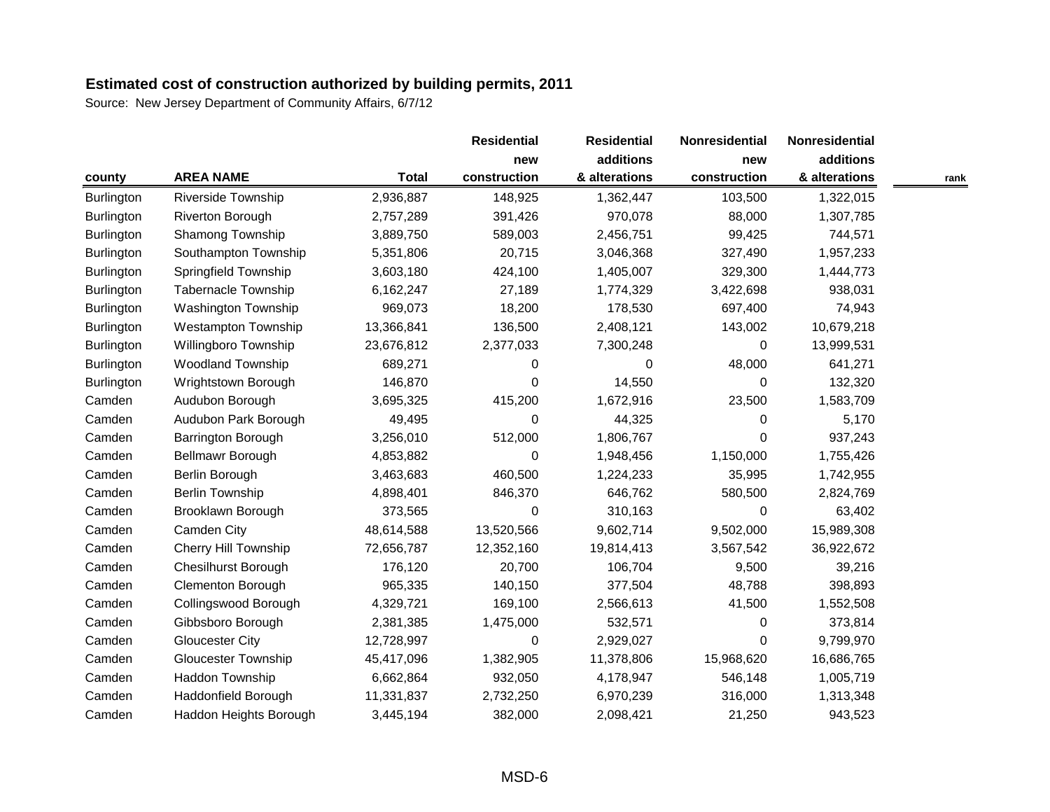|                   |                             |              | <b>Residential</b>  | <b>Residential</b>         | Nonresidential<br>new | Nonresidential |      |
|-------------------|-----------------------------|--------------|---------------------|----------------------------|-----------------------|----------------|------|
|                   |                             | <b>Total</b> | new<br>construction | additions<br>& alterations |                       | additions      |      |
| county            | <b>AREA NAME</b>            |              |                     |                            | construction          | & alterations  | rank |
| <b>Burlington</b> | <b>Riverside Township</b>   | 2,936,887    | 148,925             | 1,362,447                  | 103,500               | 1,322,015      |      |
| <b>Burlington</b> | Riverton Borough            | 2,757,289    | 391,426             | 970,078                    | 88,000                | 1,307,785      |      |
| Burlington        | Shamong Township            | 3,889,750    | 589,003             | 2,456,751                  | 99,425                | 744,571        |      |
| Burlington        | Southampton Township        | 5,351,806    | 20,715              | 3,046,368                  | 327,490               | 1,957,233      |      |
| <b>Burlington</b> | Springfield Township        | 3,603,180    | 424,100             | 1,405,007                  | 329,300               | 1,444,773      |      |
| <b>Burlington</b> | <b>Tabernacle Township</b>  | 6,162,247    | 27,189              | 1,774,329                  | 3,422,698             | 938,031        |      |
| <b>Burlington</b> | Washington Township         | 969,073      | 18,200              | 178,530                    | 697,400               | 74,943         |      |
| <b>Burlington</b> | <b>Westampton Township</b>  | 13,366,841   | 136,500             | 2,408,121                  | 143,002               | 10,679,218     |      |
| <b>Burlington</b> | Willingboro Township        | 23,676,812   | 2,377,033           | 7,300,248                  | 0                     | 13,999,531     |      |
| Burlington        | <b>Woodland Township</b>    | 689,271      | 0                   | 0                          | 48,000                | 641,271        |      |
| <b>Burlington</b> | Wrightstown Borough         | 146,870      | 0                   | 14,550                     | 0                     | 132,320        |      |
| Camden            | Audubon Borough             | 3,695,325    | 415,200             | 1,672,916                  | 23,500                | 1,583,709      |      |
| Camden            | Audubon Park Borough        | 49,495       | 0                   | 44,325                     | $\Omega$              | 5,170          |      |
| Camden            | Barrington Borough          | 3,256,010    | 512,000             | 1,806,767                  | $\Omega$              | 937,243        |      |
| Camden            | Bellmawr Borough            | 4,853,882    | 0                   | 1,948,456                  | 1,150,000             | 1,755,426      |      |
| Camden            | Berlin Borough              | 3,463,683    | 460,500             | 1,224,233                  | 35,995                | 1,742,955      |      |
| Camden            | <b>Berlin Township</b>      | 4,898,401    | 846,370             | 646,762                    | 580,500               | 2,824,769      |      |
| Camden            | Brooklawn Borough           | 373,565      | $\boldsymbol{0}$    | 310,163                    | $\pmb{0}$             | 63,402         |      |
| Camden            | Camden City                 | 48,614,588   | 13,520,566          | 9,602,714                  | 9,502,000             | 15,989,308     |      |
| Camden            | <b>Cherry Hill Township</b> | 72,656,787   | 12,352,160          | 19,814,413                 | 3,567,542             | 36,922,672     |      |
| Camden            | <b>Chesilhurst Borough</b>  | 176,120      | 20,700              | 106,704                    | 9,500                 | 39,216         |      |
| Camden            | <b>Clementon Borough</b>    | 965,335      | 140,150             | 377,504                    | 48,788                | 398,893        |      |
| Camden            | Collingswood Borough        | 4,329,721    | 169,100             | 2,566,613                  | 41,500                | 1,552,508      |      |
| Camden            | Gibbsboro Borough           | 2,381,385    | 1,475,000           | 532,571                    | 0                     | 373,814        |      |
| Camden            | <b>Gloucester City</b>      | 12,728,997   | 0                   | 2,929,027                  | $\Omega$              | 9,799,970      |      |
| Camden            | <b>Gloucester Township</b>  | 45,417,096   | 1,382,905           | 11,378,806                 | 15,968,620            | 16,686,765     |      |
| Camden            | Haddon Township             | 6,662,864    | 932,050             | 4,178,947                  | 546,148               | 1,005,719      |      |
| Camden            | Haddonfield Borough         | 11,331,837   | 2,732,250           | 6,970,239                  | 316,000               | 1,313,348      |      |
| Camden            | Haddon Heights Borough      | 3,445,194    | 382,000             | 2,098,421                  | 21,250                | 943,523        |      |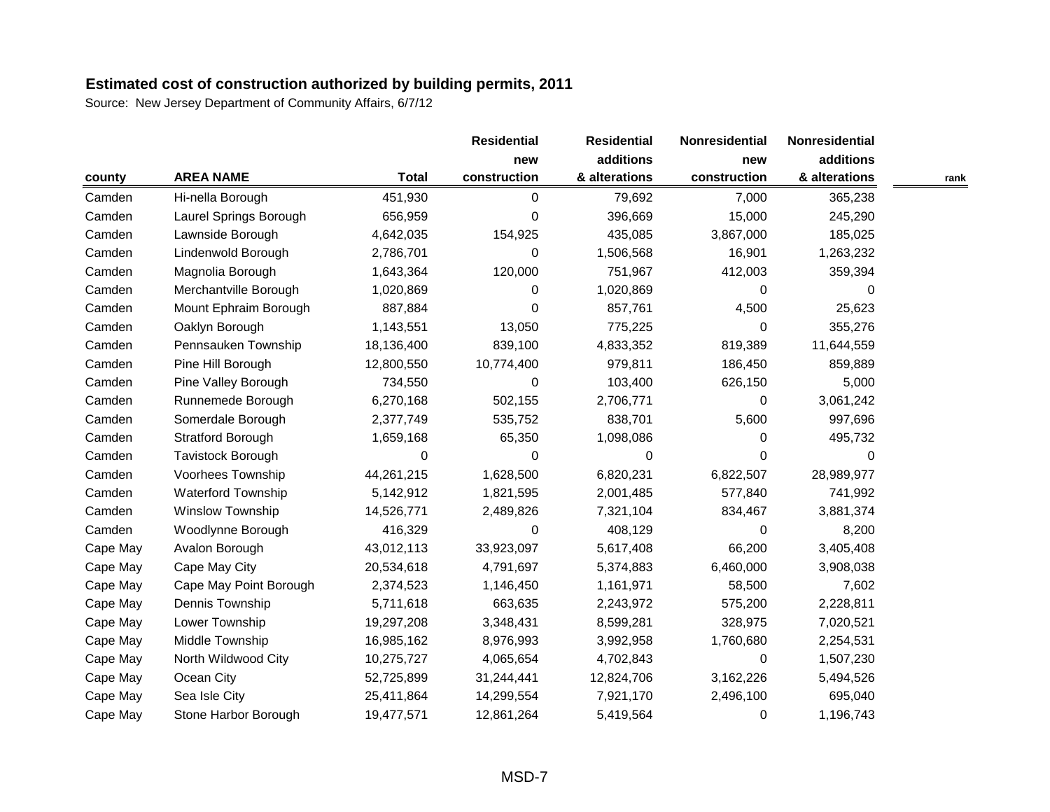|          |                           |              | <b>Residential</b> | <b>Residential</b> | Nonresidential | Nonresidential |      |
|----------|---------------------------|--------------|--------------------|--------------------|----------------|----------------|------|
|          |                           | <b>Total</b> | new                | additions          | new            | additions      |      |
| county   | <b>AREA NAME</b>          |              | construction       | & alterations      | construction   | & alterations  | rank |
| Camden   | Hi-nella Borough          | 451,930      | 0                  | 79,692             | 7,000          | 365,238        |      |
| Camden   | Laurel Springs Borough    | 656,959      | 0                  | 396,669            | 15,000         | 245,290        |      |
| Camden   | Lawnside Borough          | 4,642,035    | 154,925            | 435,085            | 3,867,000      | 185,025        |      |
| Camden   | Lindenwold Borough        | 2,786,701    | 0                  | 1,506,568          | 16,901         | 1,263,232      |      |
| Camden   | Magnolia Borough          | 1,643,364    | 120,000            | 751,967            | 412,003        | 359,394        |      |
| Camden   | Merchantville Borough     | 1,020,869    | 0                  | 1,020,869          | 0              | 0              |      |
| Camden   | Mount Ephraim Borough     | 887,884      | 0                  | 857,761            | 4,500          | 25,623         |      |
| Camden   | Oaklyn Borough            | 1,143,551    | 13,050             | 775,225            | $\Omega$       | 355,276        |      |
| Camden   | Pennsauken Township       | 18,136,400   | 839,100            | 4,833,352          | 819,389        | 11,644,559     |      |
| Camden   | Pine Hill Borough         | 12,800,550   | 10,774,400         | 979,811            | 186,450        | 859,889        |      |
| Camden   | Pine Valley Borough       | 734,550      | 0                  | 103,400            | 626,150        | 5,000          |      |
| Camden   | Runnemede Borough         | 6,270,168    | 502,155            | 2,706,771          | 0              | 3,061,242      |      |
| Camden   | Somerdale Borough         | 2,377,749    | 535,752            | 838,701            | 5,600          | 997,696        |      |
| Camden   | <b>Stratford Borough</b>  | 1,659,168    | 65,350             | 1,098,086          | $\Omega$       | 495,732        |      |
| Camden   | Tavistock Borough         | 0            | 0                  | 0                  | $\Omega$       | $\Omega$       |      |
| Camden   | Voorhees Township         | 44,261,215   | 1,628,500          | 6,820,231          | 6,822,507      | 28,989,977     |      |
| Camden   | <b>Waterford Township</b> | 5,142,912    | 1,821,595          | 2,001,485          | 577,840        | 741,992        |      |
| Camden   | Winslow Township          | 14,526,771   | 2,489,826          | 7,321,104          | 834,467        | 3,881,374      |      |
| Camden   | Woodlynne Borough         | 416,329      | 0                  | 408,129            | $\Omega$       | 8,200          |      |
| Cape May | Avalon Borough            | 43,012,113   | 33,923,097         | 5,617,408          | 66,200         | 3,405,408      |      |
| Cape May | Cape May City             | 20,534,618   | 4,791,697          | 5,374,883          | 6,460,000      | 3,908,038      |      |
| Cape May | Cape May Point Borough    | 2,374,523    | 1,146,450          | 1,161,971          | 58,500         | 7,602          |      |
| Cape May | Dennis Township           | 5,711,618    | 663,635            | 2,243,972          | 575,200        | 2,228,811      |      |
| Cape May | Lower Township            | 19,297,208   | 3,348,431          | 8,599,281          | 328,975        | 7,020,521      |      |
| Cape May | Middle Township           | 16,985,162   | 8,976,993          | 3,992,958          | 1,760,680      | 2,254,531      |      |
| Cape May | North Wildwood City       | 10,275,727   | 4,065,654          | 4,702,843          | $\Omega$       | 1,507,230      |      |
| Cape May | Ocean City                | 52,725,899   | 31,244,441         | 12,824,706         | 3,162,226      | 5,494,526      |      |
| Cape May | Sea Isle City             | 25,411,864   | 14,299,554         | 7,921,170          | 2,496,100      | 695,040        |      |
| Cape May | Stone Harbor Borough      | 19,477,571   | 12,861,264         | 5,419,564          | $\Omega$       | 1,196,743      |      |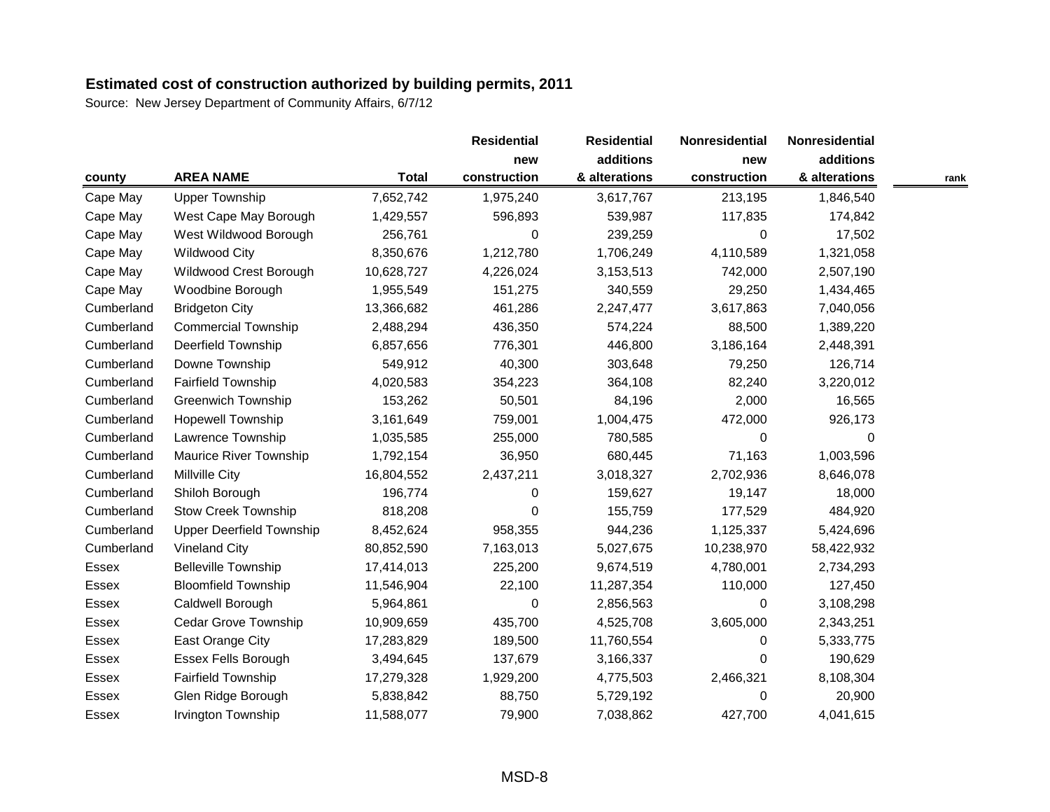|              |                                 |              | <b>Residential</b> | <b>Residential</b> | Nonresidential | Nonresidential |      |
|--------------|---------------------------------|--------------|--------------------|--------------------|----------------|----------------|------|
|              |                                 |              | new                | additions          | new            | additions      |      |
| county       | <b>AREA NAME</b>                | <b>Total</b> | construction       | & alterations      | construction   | & alterations  | rank |
| Cape May     | <b>Upper Township</b>           | 7,652,742    | 1,975,240          | 3,617,767          | 213,195        | 1,846,540      |      |
| Cape May     | West Cape May Borough           | 1,429,557    | 596,893            | 539,987            | 117,835        | 174,842        |      |
| Cape May     | West Wildwood Borough           | 256,761      | 0                  | 239,259            | $\Omega$       | 17,502         |      |
| Cape May     | <b>Wildwood City</b>            | 8,350,676    | 1,212,780          | 1,706,249          | 4,110,589      | 1,321,058      |      |
| Cape May     | Wildwood Crest Borough          | 10,628,727   | 4,226,024          | 3,153,513          | 742,000        | 2,507,190      |      |
| Cape May     | Woodbine Borough                | 1,955,549    | 151,275            | 340,559            | 29,250         | 1,434,465      |      |
| Cumberland   | <b>Bridgeton City</b>           | 13,366,682   | 461,286            | 2,247,477          | 3,617,863      | 7,040,056      |      |
| Cumberland   | <b>Commercial Township</b>      | 2,488,294    | 436,350            | 574,224            | 88,500         | 1,389,220      |      |
| Cumberland   | <b>Deerfield Township</b>       | 6,857,656    | 776,301            | 446,800            | 3,186,164      | 2,448,391      |      |
| Cumberland   | Downe Township                  | 549,912      | 40,300             | 303,648            | 79,250         | 126,714        |      |
| Cumberland   | <b>Fairfield Township</b>       | 4,020,583    | 354,223            | 364,108            | 82,240         | 3,220,012      |      |
| Cumberland   | <b>Greenwich Township</b>       | 153,262      | 50,501             | 84,196             | 2,000          | 16,565         |      |
| Cumberland   | <b>Hopewell Township</b>        | 3,161,649    | 759,001            | 1,004,475          | 472,000        | 926,173        |      |
| Cumberland   | Lawrence Township               | 1,035,585    | 255,000            | 780,585            | $\Omega$       | 0              |      |
| Cumberland   | Maurice River Township          | 1,792,154    | 36,950             | 680,445            | 71,163         | 1,003,596      |      |
| Cumberland   | <b>Millville City</b>           | 16,804,552   | 2,437,211          | 3,018,327          | 2,702,936      | 8,646,078      |      |
| Cumberland   | Shiloh Borough                  | 196,774      | 0                  | 159,627            | 19,147         | 18,000         |      |
| Cumberland   | <b>Stow Creek Township</b>      | 818,208      | 0                  | 155,759            | 177,529        | 484,920        |      |
| Cumberland   | <b>Upper Deerfield Township</b> | 8,452,624    | 958,355            | 944,236            | 1,125,337      | 5,424,696      |      |
| Cumberland   | <b>Vineland City</b>            | 80,852,590   | 7,163,013          | 5,027,675          | 10,238,970     | 58,422,932     |      |
| Essex        | <b>Belleville Township</b>      | 17,414,013   | 225,200            | 9,674,519          | 4,780,001      | 2,734,293      |      |
| Essex        | <b>Bloomfield Township</b>      | 11,546,904   | 22,100             | 11,287,354         | 110,000        | 127,450        |      |
| <b>Essex</b> | Caldwell Borough                | 5,964,861    | 0                  | 2,856,563          | 0              | 3,108,298      |      |
| <b>Essex</b> | Cedar Grove Township            | 10,909,659   | 435,700            | 4,525,708          | 3,605,000      | 2,343,251      |      |
| Essex        | East Orange City                | 17,283,829   | 189,500            | 11,760,554         | $\Omega$       | 5,333,775      |      |
| <b>Essex</b> | Essex Fells Borough             | 3,494,645    | 137,679            | 3,166,337          | $\Omega$       | 190,629        |      |
| Essex        | <b>Fairfield Township</b>       | 17,279,328   | 1,929,200          | 4,775,503          | 2,466,321      | 8,108,304      |      |
| <b>Essex</b> | Glen Ridge Borough              | 5,838,842    | 88,750             | 5,729,192          | 0              | 20,900         |      |
| Essex        | Irvington Township              | 11,588,077   | 79,900             | 7,038,862          | 427,700        | 4,041,615      |      |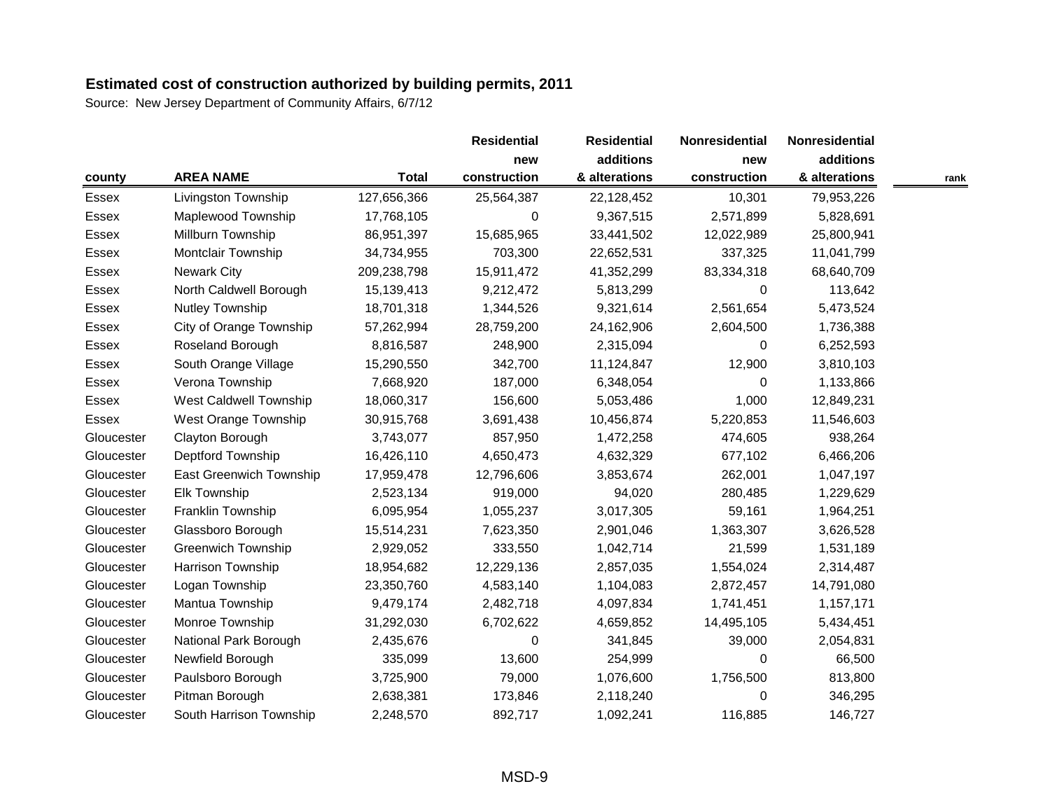|              |                           |              | <b>Residential</b> | <b>Residential</b> | Nonresidential<br>new | Nonresidential |      |
|--------------|---------------------------|--------------|--------------------|--------------------|-----------------------|----------------|------|
|              |                           |              | new                | additions          |                       | additions      |      |
| county       | <b>AREA NAME</b>          | <b>Total</b> | construction       | & alterations      | construction          | & alterations  | rank |
| Essex        | Livingston Township       | 127,656,366  | 25,564,387         | 22,128,452         | 10,301                | 79,953,226     |      |
| Essex        | Maplewood Township        | 17,768,105   | 0                  | 9,367,515          | 2,571,899             | 5,828,691      |      |
| Essex        | Millburn Township         | 86,951,397   | 15,685,965         | 33,441,502         | 12,022,989            | 25,800,941     |      |
| Essex        | Montclair Township        | 34,734,955   | 703,300            | 22,652,531         | 337,325               | 11,041,799     |      |
| Essex        | <b>Newark City</b>        | 209,238,798  | 15,911,472         | 41,352,299         | 83,334,318            | 68,640,709     |      |
| Essex        | North Caldwell Borough    | 15,139,413   | 9,212,472          | 5,813,299          | 0                     | 113,642        |      |
| Essex        | <b>Nutley Township</b>    | 18,701,318   | 1,344,526          | 9,321,614          | 2,561,654             | 5,473,524      |      |
| <b>Essex</b> | City of Orange Township   | 57,262,994   | 28,759,200         | 24,162,906         | 2,604,500             | 1,736,388      |      |
| Essex        | Roseland Borough          | 8,816,587    | 248,900            | 2,315,094          | $\Omega$              | 6,252,593      |      |
| Essex        | South Orange Village      | 15,290,550   | 342,700            | 11,124,847         | 12,900                | 3,810,103      |      |
| Essex        | Verona Township           | 7,668,920    | 187,000            | 6,348,054          | $\Omega$              | 1,133,866      |      |
| Essex        | West Caldwell Township    | 18,060,317   | 156,600            | 5,053,486          | 1,000                 | 12,849,231     |      |
| Essex        | West Orange Township      | 30,915,768   | 3,691,438          | 10,456,874         | 5,220,853             | 11,546,603     |      |
| Gloucester   | Clayton Borough           | 3,743,077    | 857,950            | 1,472,258          | 474,605               | 938,264        |      |
| Gloucester   | Deptford Township         | 16,426,110   | 4,650,473          | 4,632,329          | 677,102               | 6,466,206      |      |
| Gloucester   | East Greenwich Township   | 17,959,478   | 12,796,606         | 3,853,674          | 262,001               | 1,047,197      |      |
| Gloucester   | Elk Township              | 2,523,134    | 919,000            | 94,020             | 280,485               | 1,229,629      |      |
| Gloucester   | Franklin Township         | 6,095,954    | 1,055,237          | 3,017,305          | 59,161                | 1,964,251      |      |
| Gloucester   | Glassboro Borough         | 15,514,231   | 7,623,350          | 2,901,046          | 1,363,307             | 3,626,528      |      |
| Gloucester   | <b>Greenwich Township</b> | 2,929,052    | 333,550            | 1,042,714          | 21,599                | 1,531,189      |      |
| Gloucester   | Harrison Township         | 18,954,682   | 12,229,136         | 2,857,035          | 1,554,024             | 2,314,487      |      |
| Gloucester   | Logan Township            | 23,350,760   | 4,583,140          | 1,104,083          | 2,872,457             | 14,791,080     |      |
| Gloucester   | Mantua Township           | 9,479,174    | 2,482,718          | 4,097,834          | 1,741,451             | 1,157,171      |      |
| Gloucester   | Monroe Township           | 31,292,030   | 6,702,622          | 4,659,852          | 14,495,105            | 5,434,451      |      |
| Gloucester   | National Park Borough     | 2,435,676    | 0                  | 341,845            | 39,000                | 2,054,831      |      |
| Gloucester   | Newfield Borough          | 335,099      | 13,600             | 254,999            | $\Omega$              | 66,500         |      |
| Gloucester   | Paulsboro Borough         | 3,725,900    | 79,000             | 1,076,600          | 1,756,500             | 813,800        |      |
| Gloucester   | Pitman Borough            | 2,638,381    | 173,846            | 2,118,240          | 0                     | 346,295        |      |
| Gloucester   | South Harrison Township   | 2,248,570    | 892,717            | 1,092,241          | 116,885               | 146,727        |      |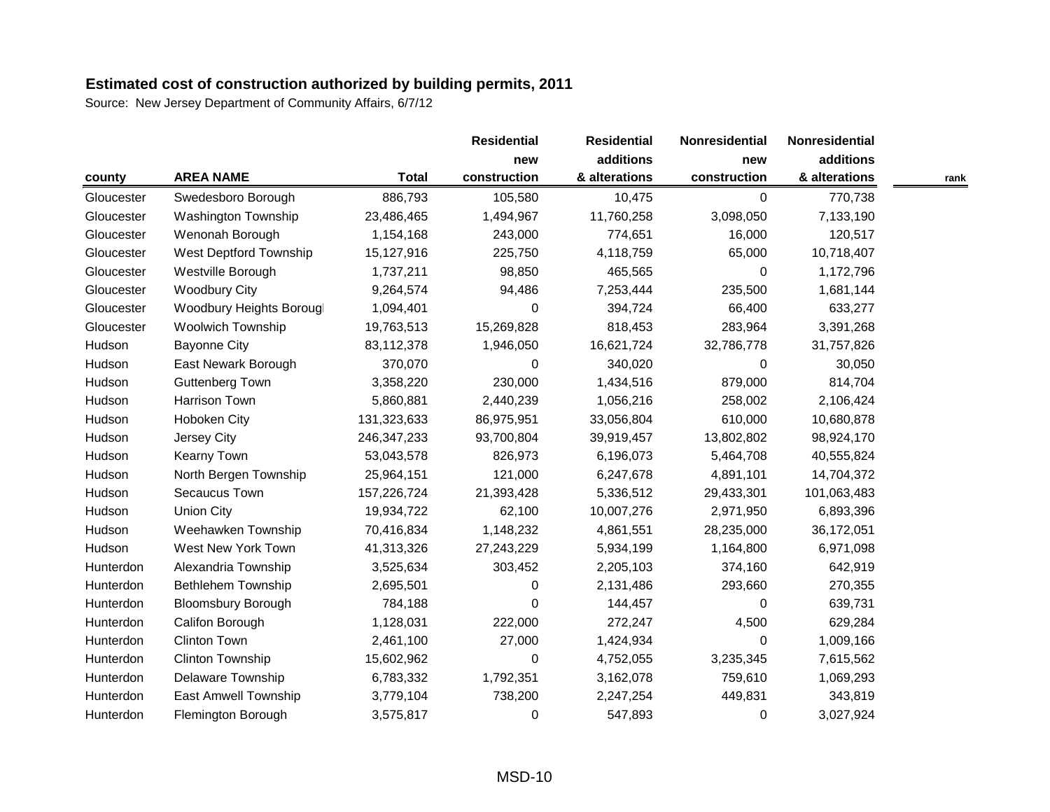|            |                             |               | <b>Residential</b> | <b>Residential</b> | Nonresidential | Nonresidential |      |
|------------|-----------------------------|---------------|--------------------|--------------------|----------------|----------------|------|
|            |                             |               | new                | additions          | new            | additions      |      |
| county     | <b>AREA NAME</b>            | <b>Total</b>  | construction       | & alterations      | construction   | & alterations  | rank |
| Gloucester | Swedesboro Borough          | 886,793       | 105,580            | 10,475             | $\mathbf 0$    | 770,738        |      |
| Gloucester | Washington Township         | 23,486,465    | 1,494,967          | 11,760,258         | 3,098,050      | 7,133,190      |      |
| Gloucester | Wenonah Borough             | 1,154,168     | 243,000            | 774,651            | 16,000         | 120,517        |      |
| Gloucester | West Deptford Township      | 15,127,916    | 225,750            | 4,118,759          | 65,000         | 10,718,407     |      |
| Gloucester | Westville Borough           | 1,737,211     | 98,850             | 465,565            | $\Omega$       | 1,172,796      |      |
| Gloucester | <b>Woodbury City</b>        | 9,264,574     | 94,486             | 7,253,444          | 235,500        | 1,681,144      |      |
| Gloucester | Woodbury Heights Borougl    | 1,094,401     | 0                  | 394,724            | 66,400         | 633,277        |      |
| Gloucester | <b>Woolwich Township</b>    | 19,763,513    | 15,269,828         | 818,453            | 283,964        | 3,391,268      |      |
| Hudson     | <b>Bayonne City</b>         | 83,112,378    | 1,946,050          | 16,621,724         | 32,786,778     | 31,757,826     |      |
| Hudson     | East Newark Borough         | 370,070       | 0                  | 340,020            | $\Omega$       | 30,050         |      |
| Hudson     | <b>Guttenberg Town</b>      | 3,358,220     | 230,000            | 1,434,516          | 879,000        | 814,704        |      |
| Hudson     | Harrison Town               | 5,860,881     | 2,440,239          | 1,056,216          | 258,002        | 2,106,424      |      |
| Hudson     | <b>Hoboken City</b>         | 131,323,633   | 86,975,951         | 33,056,804         | 610,000        | 10,680,878     |      |
| Hudson     | Jersey City                 | 246, 347, 233 | 93,700,804         | 39,919,457         | 13,802,802     | 98,924,170     |      |
| Hudson     | Kearny Town                 | 53,043,578    | 826,973            | 6,196,073          | 5,464,708      | 40,555,824     |      |
| Hudson     | North Bergen Township       | 25,964,151    | 121,000            | 6,247,678          | 4,891,101      | 14,704,372     |      |
| Hudson     | Secaucus Town               | 157,226,724   | 21,393,428         | 5,336,512          | 29,433,301     | 101,063,483    |      |
| Hudson     | <b>Union City</b>           | 19,934,722    | 62,100             | 10,007,276         | 2,971,950      | 6,893,396      |      |
| Hudson     | Weehawken Township          | 70,416,834    | 1,148,232          | 4,861,551          | 28,235,000     | 36,172,051     |      |
| Hudson     | West New York Town          | 41,313,326    | 27,243,229         | 5,934,199          | 1,164,800      | 6,971,098      |      |
| Hunterdon  | Alexandria Township         | 3,525,634     | 303,452            | 2,205,103          | 374,160        | 642,919        |      |
| Hunterdon  | <b>Bethlehem Township</b>   | 2,695,501     | 0                  | 2,131,486          | 293,660        | 270,355        |      |
| Hunterdon  | <b>Bloomsbury Borough</b>   | 784,188       | 0                  | 144,457            | 0              | 639,731        |      |
| Hunterdon  | Califon Borough             | 1,128,031     | 222,000            | 272,247            | 4,500          | 629,284        |      |
| Hunterdon  | <b>Clinton Town</b>         | 2,461,100     | 27,000             | 1,424,934          | $\Omega$       | 1,009,166      |      |
| Hunterdon  | <b>Clinton Township</b>     | 15,602,962    | $\pmb{0}$          | 4,752,055          | 3,235,345      | 7,615,562      |      |
| Hunterdon  | Delaware Township           | 6,783,332     | 1,792,351          | 3,162,078          | 759,610        | 1,069,293      |      |
| Hunterdon  | <b>East Amwell Township</b> | 3,779,104     | 738,200            | 2,247,254          | 449,831        | 343,819        |      |
| Hunterdon  | Flemington Borough          | 3,575,817     | 0                  | 547,893            | $\Omega$       | 3,027,924      |      |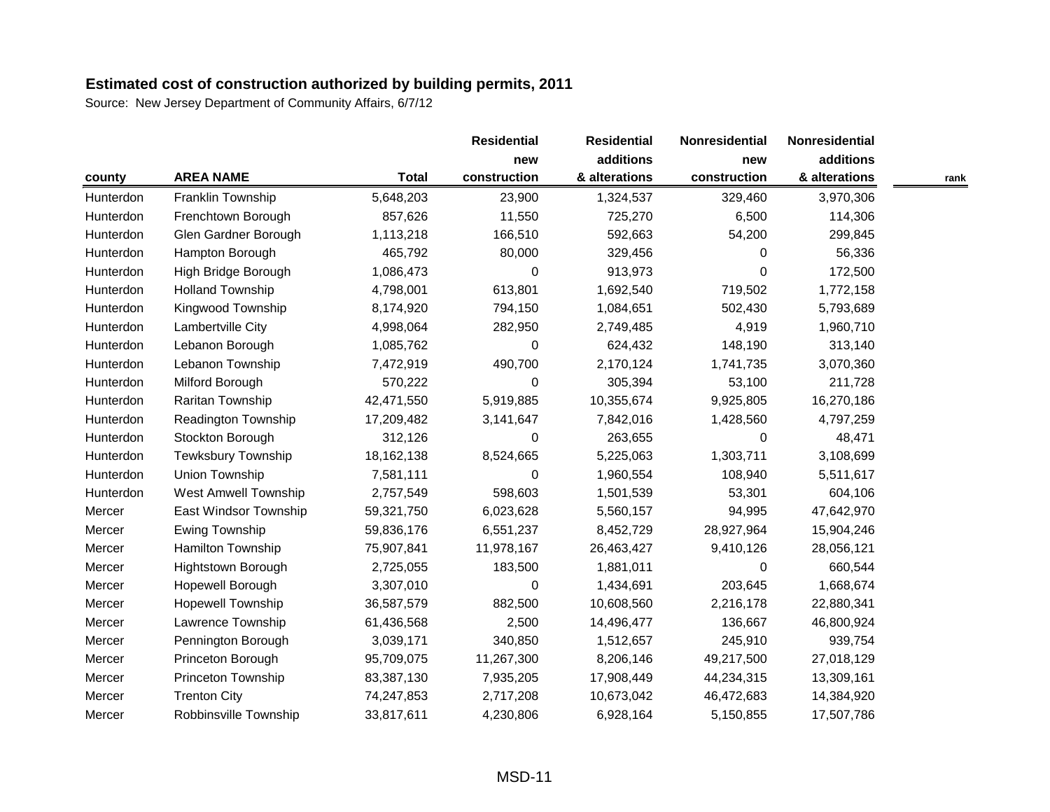Source: New Jersey Department of Community Affairs, 6/7/12

|           |                             |              | <b>Residential</b> | <b>Residential</b> | Nonresidential | Nonresidential |      |
|-----------|-----------------------------|--------------|--------------------|--------------------|----------------|----------------|------|
|           |                             |              | new                | additions          | new            | additions      |      |
| county    | <b>AREA NAME</b>            | <b>Total</b> | construction       | & alterations      | construction   | & alterations  | rank |
| Hunterdon | Franklin Township           | 5,648,203    | 23,900             | 1,324,537          | 329,460        | 3,970,306      |      |
| Hunterdon | Frenchtown Borough          | 857,626      | 11,550             | 725,270            | 6,500          | 114,306        |      |
| Hunterdon | Glen Gardner Borough        | 1,113,218    | 166,510            | 592,663            | 54,200         | 299,845        |      |
| Hunterdon | Hampton Borough             | 465,792      | 80,000             | 329,456            | $\Omega$       | 56,336         |      |
| Hunterdon | High Bridge Borough         | 1,086,473    | 0                  | 913,973            | $\Omega$       | 172,500        |      |
| Hunterdon | <b>Holland Township</b>     | 4,798,001    | 613,801            | 1,692,540          | 719,502        | 1,772,158      |      |
| Hunterdon | Kingwood Township           | 8,174,920    | 794,150            | 1,084,651          | 502,430        | 5,793,689      |      |
| Hunterdon | Lambertville City           | 4,998,064    | 282,950            | 2,749,485          | 4,919          | 1,960,710      |      |
| Hunterdon | Lebanon Borough             | 1,085,762    | $\boldsymbol{0}$   | 624,432            | 148,190        | 313,140        |      |
| Hunterdon | Lebanon Township            | 7,472,919    | 490,700            | 2,170,124          | 1,741,735      | 3,070,360      |      |
| Hunterdon | Milford Borough             | 570,222      | 0                  | 305,394            | 53,100         | 211,728        |      |
| Hunterdon | Raritan Township            | 42,471,550   | 5,919,885          | 10,355,674         | 9,925,805      | 16,270,186     |      |
| Hunterdon | <b>Readington Township</b>  | 17,209,482   | 3,141,647          | 7,842,016          | 1,428,560      | 4,797,259      |      |
| Hunterdon | Stockton Borough            | 312,126      | 0                  | 263,655            | $\Omega$       | 48,471         |      |
| Hunterdon | <b>Tewksbury Township</b>   | 18,162,138   | 8,524,665          | 5,225,063          | 1,303,711      | 3,108,699      |      |
| Hunterdon | <b>Union Township</b>       | 7,581,111    | 0                  | 1,960,554          | 108,940        | 5,511,617      |      |
| Hunterdon | <b>West Amwell Township</b> | 2,757,549    | 598,603            | 1,501,539          | 53,301         | 604,106        |      |
| Mercer    | East Windsor Township       | 59,321,750   | 6,023,628          | 5,560,157          | 94,995         | 47,642,970     |      |
| Mercer    | Ewing Township              | 59,836,176   | 6,551,237          | 8,452,729          | 28,927,964     | 15,904,246     |      |
| Mercer    | Hamilton Township           | 75,907,841   | 11,978,167         | 26,463,427         | 9,410,126      | 28,056,121     |      |
| Mercer    | <b>Hightstown Borough</b>   | 2,725,055    | 183,500            | 1,881,011          | $\Omega$       | 660,544        |      |
| Mercer    | Hopewell Borough            | 3,307,010    | 0                  | 1,434,691          | 203,645        | 1,668,674      |      |
| Mercer    | <b>Hopewell Township</b>    | 36,587,579   | 882,500            | 10,608,560         | 2,216,178      | 22,880,341     |      |
| Mercer    | Lawrence Township           | 61,436,568   | 2,500              | 14,496,477         | 136,667        | 46,800,924     |      |
| Mercer    | Pennington Borough          | 3,039,171    | 340,850            | 1,512,657          | 245,910        | 939,754        |      |
| Mercer    | Princeton Borough           | 95,709,075   | 11,267,300         | 8,206,146          | 49,217,500     | 27,018,129     |      |
| Mercer    | Princeton Township          | 83,387,130   | 7,935,205          | 17,908,449         | 44,234,315     | 13,309,161     |      |
| Mercer    | <b>Trenton City</b>         | 74,247,853   | 2,717,208          | 10,673,042         | 46,472,683     | 14,384,920     |      |
| Mercer    | Robbinsville Township       | 33,817,611   | 4,230,806          | 6,928,164          | 5,150,855      | 17,507,786     |      |

MSD-11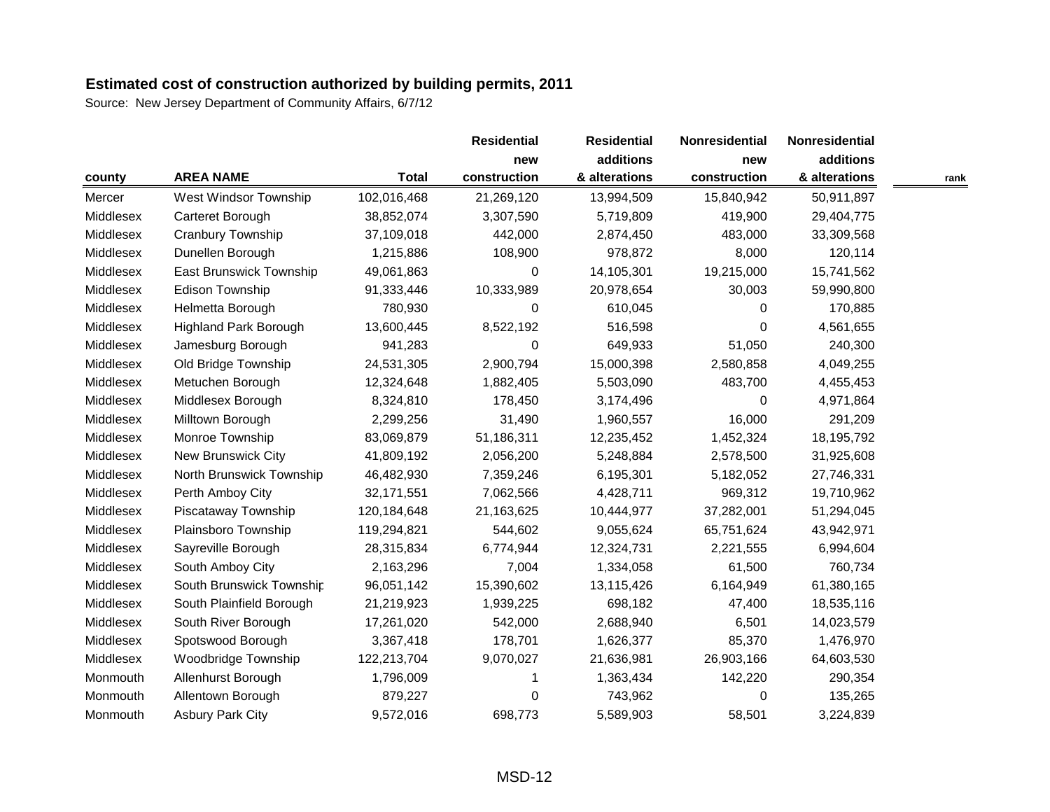|           |                              |              | <b>Residential</b> | <b>Residential</b> | Nonresidential | Nonresidential |      |
|-----------|------------------------------|--------------|--------------------|--------------------|----------------|----------------|------|
|           |                              |              | new                | additions          | new            | additions      |      |
| county    | <b>AREA NAME</b>             | <b>Total</b> | construction       | & alterations      | construction   | & alterations  | rank |
| Mercer    | West Windsor Township        | 102,016,468  | 21,269,120         | 13,994,509         | 15,840,942     | 50,911,897     |      |
| Middlesex | Carteret Borough             | 38,852,074   | 3,307,590          | 5,719,809          | 419,900        | 29,404,775     |      |
| Middlesex | Cranbury Township            | 37,109,018   | 442,000            | 2,874,450          | 483,000        | 33,309,568     |      |
| Middlesex | Dunellen Borough             | 1,215,886    | 108,900            | 978,872            | 8,000          | 120,114        |      |
| Middlesex | East Brunswick Township      | 49,061,863   | $\Omega$           | 14,105,301         | 19,215,000     | 15,741,562     |      |
| Middlesex | <b>Edison Township</b>       | 91,333,446   | 10,333,989         | 20,978,654         | 30,003         | 59,990,800     |      |
| Middlesex | Helmetta Borough             | 780,930      | 0                  | 610,045            | 0              | 170,885        |      |
| Middlesex | <b>Highland Park Borough</b> | 13,600,445   | 8,522,192          | 516,598            | $\Omega$       | 4,561,655      |      |
| Middlesex | Jamesburg Borough            | 941,283      | $\pmb{0}$          | 649,933            | 51,050         | 240,300        |      |
| Middlesex | Old Bridge Township          | 24,531,305   | 2,900,794          | 15,000,398         | 2,580,858      | 4,049,255      |      |
| Middlesex | Metuchen Borough             | 12,324,648   | 1,882,405          | 5,503,090          | 483,700        | 4,455,453      |      |
| Middlesex | Middlesex Borough            | 8,324,810    | 178,450            | 3,174,496          | 0              | 4,971,864      |      |
| Middlesex | Milltown Borough             | 2,299,256    | 31,490             | 1,960,557          | 16,000         | 291,209        |      |
| Middlesex | Monroe Township              | 83,069,879   | 51,186,311         | 12,235,452         | 1,452,324      | 18,195,792     |      |
| Middlesex | New Brunswick City           | 41,809,192   | 2,056,200          | 5,248,884          | 2,578,500      | 31,925,608     |      |
| Middlesex | North Brunswick Township     | 46,482,930   | 7,359,246          | 6,195,301          | 5,182,052      | 27,746,331     |      |
| Middlesex | Perth Amboy City             | 32,171,551   | 7,062,566          | 4,428,711          | 969,312        | 19,710,962     |      |
| Middlesex | Piscataway Township          | 120,184,648  | 21,163,625         | 10,444,977         | 37,282,001     | 51,294,045     |      |
| Middlesex | Plainsboro Township          | 119,294,821  | 544,602            | 9,055,624          | 65,751,624     | 43,942,971     |      |
| Middlesex | Sayreville Borough           | 28,315,834   | 6,774,944          | 12,324,731         | 2,221,555      | 6,994,604      |      |
| Middlesex | South Amboy City             | 2,163,296    | 7,004              | 1,334,058          | 61,500         | 760,734        |      |
| Middlesex | South Brunswick Township     | 96,051,142   | 15,390,602         | 13,115,426         | 6,164,949      | 61,380,165     |      |
| Middlesex | South Plainfield Borough     | 21,219,923   | 1,939,225          | 698,182            | 47,400         | 18,535,116     |      |
| Middlesex | South River Borough          | 17,261,020   | 542,000            | 2,688,940          | 6,501          | 14,023,579     |      |
| Middlesex | Spotswood Borough            | 3,367,418    | 178,701            | 1,626,377          | 85,370         | 1,476,970      |      |
| Middlesex | Woodbridge Township          | 122,213,704  | 9,070,027          | 21,636,981         | 26,903,166     | 64,603,530     |      |
| Monmouth  | Allenhurst Borough           | 1,796,009    |                    | 1,363,434          | 142,220        | 290,354        |      |
| Monmouth  | Allentown Borough            | 879,227      | 0                  | 743,962            | 0              | 135,265        |      |
| Monmouth  | <b>Asbury Park City</b>      | 9,572,016    | 698,773            | 5,589,903          | 58,501         | 3,224,839      |      |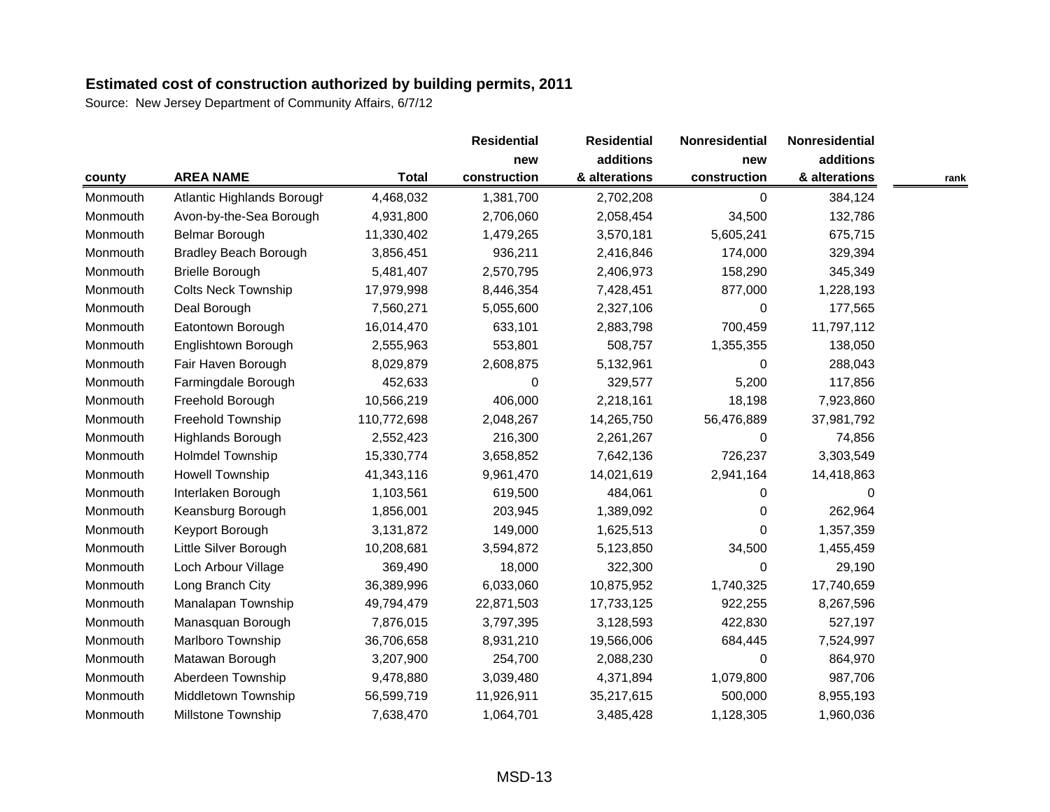|          |                              |              | <b>Residential</b> | <b>Residential</b> | Nonresidential | Nonresidential |      |
|----------|------------------------------|--------------|--------------------|--------------------|----------------|----------------|------|
|          |                              |              | new                | additions          | new            | additions      |      |
| county   | <b>AREA NAME</b>             | <b>Total</b> | construction       | & alterations      | construction   | & alterations  | rank |
| Monmouth | Atlantic Highlands Borough   | 4,468,032    | 1,381,700          | 2,702,208          | 0              | 384,124        |      |
| Monmouth | Avon-by-the-Sea Borough      | 4,931,800    | 2,706,060          | 2,058,454          | 34,500         | 132,786        |      |
| Monmouth | Belmar Borough               | 11,330,402   | 1,479,265          | 3,570,181          | 5,605,241      | 675,715        |      |
| Monmouth | <b>Bradley Beach Borough</b> | 3,856,451    | 936,211            | 2,416,846          | 174,000        | 329,394        |      |
| Monmouth | <b>Brielle Borough</b>       | 5,481,407    | 2,570,795          | 2,406,973          | 158,290        | 345,349        |      |
| Monmouth | <b>Colts Neck Township</b>   | 17,979,998   | 8,446,354          | 7,428,451          | 877,000        | 1,228,193      |      |
| Monmouth | Deal Borough                 | 7,560,271    | 5,055,600          | 2,327,106          | 0              | 177,565        |      |
| Monmouth | Eatontown Borough            | 16,014,470   | 633,101            | 2,883,798          | 700,459        | 11,797,112     |      |
| Monmouth | Englishtown Borough          | 2,555,963    | 553,801            | 508,757            | 1,355,355      | 138,050        |      |
| Monmouth | Fair Haven Borough           | 8,029,879    | 2,608,875          | 5,132,961          | $\Omega$       | 288,043        |      |
| Monmouth | Farmingdale Borough          | 452,633      | 0                  | 329,577            | 5,200          | 117,856        |      |
| Monmouth | Freehold Borough             | 10,566,219   | 406,000            | 2,218,161          | 18,198         | 7,923,860      |      |
| Monmouth | Freehold Township            | 110,772,698  | 2,048,267          | 14,265,750         | 56,476,889     | 37,981,792     |      |
| Monmouth | Highlands Borough            | 2,552,423    | 216,300            | 2,261,267          | $\Omega$       | 74,856         |      |
| Monmouth | Holmdel Township             | 15,330,774   | 3,658,852          | 7,642,136          | 726,237        | 3,303,549      |      |
| Monmouth | Howell Township              | 41,343,116   | 9,961,470          | 14,021,619         | 2,941,164      | 14,418,863     |      |
| Monmouth | Interlaken Borough           | 1,103,561    | 619,500            | 484,061            | 0              | 0              |      |
| Monmouth | Keansburg Borough            | 1,856,001    | 203,945            | 1,389,092          | $\Omega$       | 262,964        |      |
| Monmouth | Keyport Borough              | 3,131,872    | 149,000            | 1,625,513          | $\Omega$       | 1,357,359      |      |
| Monmouth | Little Silver Borough        | 10,208,681   | 3,594,872          | 5,123,850          | 34,500         | 1,455,459      |      |
| Monmouth | Loch Arbour Village          | 369,490      | 18,000             | 322,300            | $\Omega$       | 29,190         |      |
| Monmouth | Long Branch City             | 36,389,996   | 6,033,060          | 10,875,952         | 1,740,325      | 17,740,659     |      |
| Monmouth | Manalapan Township           | 49,794,479   | 22,871,503         | 17,733,125         | 922,255        | 8,267,596      |      |
| Monmouth | Manasquan Borough            | 7,876,015    | 3,797,395          | 3,128,593          | 422,830        | 527,197        |      |
| Monmouth | Marlboro Township            | 36,706,658   | 8,931,210          | 19,566,006         | 684,445        | 7,524,997      |      |
| Monmouth | Matawan Borough              | 3,207,900    | 254,700            | 2,088,230          | $\Omega$       | 864,970        |      |
| Monmouth | Aberdeen Township            | 9,478,880    | 3,039,480          | 4,371,894          | 1,079,800      | 987,706        |      |
| Monmouth | Middletown Township          | 56,599,719   | 11,926,911         | 35,217,615         | 500,000        | 8,955,193      |      |
| Monmouth | <b>Millstone Township</b>    | 7,638,470    | 1,064,701          | 3,485,428          | 1,128,305      | 1,960,036      |      |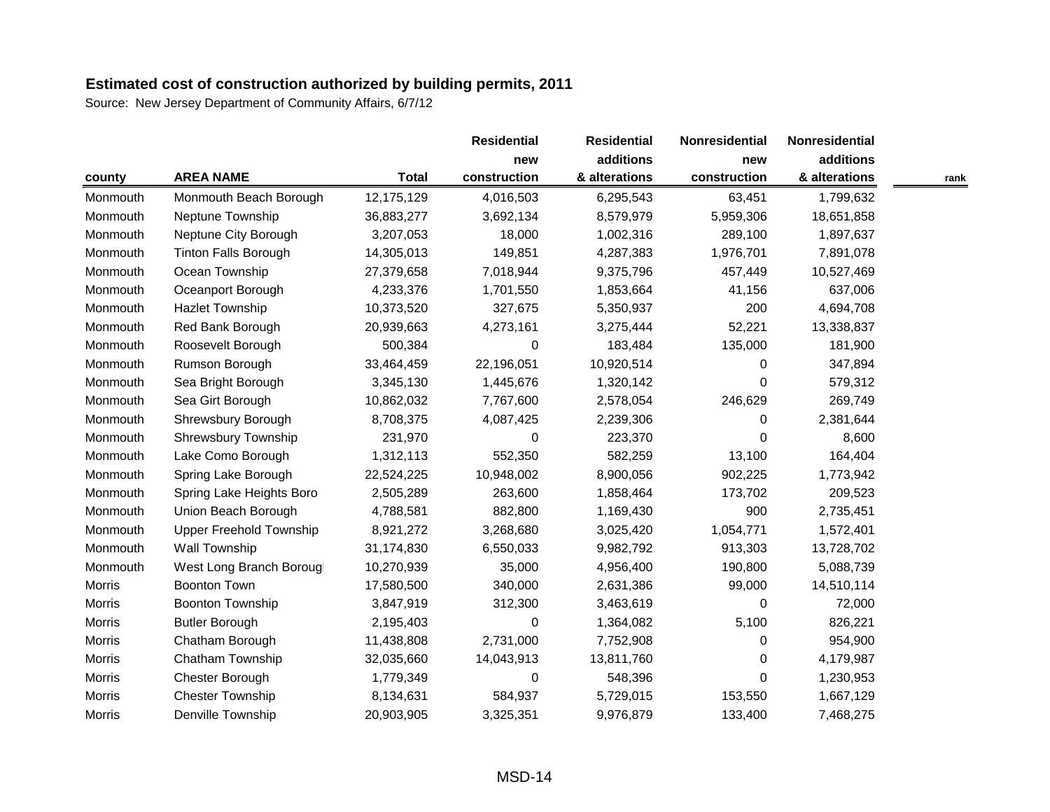|               |                                |              | <b>Residential</b> | <b>Residential</b> | Nonresidential | Nonresidential |      |
|---------------|--------------------------------|--------------|--------------------|--------------------|----------------|----------------|------|
|               |                                |              | new                | additions          | new            | additions      |      |
| county        | <b>AREA NAME</b>               | <b>Total</b> | construction       | & alterations      | construction   | & alterations  | rank |
| Monmouth      | Monmouth Beach Borough         | 12,175,129   | 4,016,503          | 6,295,543          | 63,451         | 1,799,632      |      |
| Monmouth      | Neptune Township               | 36,883,277   | 3,692,134          | 8,579,979          | 5,959,306      | 18,651,858     |      |
| Monmouth      | Neptune City Borough           | 3,207,053    | 18,000             | 1,002,316          | 289,100        | 1,897,637      |      |
| Monmouth      | <b>Tinton Falls Borough</b>    | 14,305,013   | 149,851            | 4,287,383          | 1,976,701      | 7,891,078      |      |
| Monmouth      | Ocean Township                 | 27,379,658   | 7,018,944          | 9,375,796          | 457,449        | 10,527,469     |      |
| Monmouth      | Oceanport Borough              | 4,233,376    | 1,701,550          | 1,853,664          | 41,156         | 637,006        |      |
| Monmouth      | <b>Hazlet Township</b>         | 10,373,520   | 327,675            | 5,350,937          | 200            | 4,694,708      |      |
| Monmouth      | Red Bank Borough               | 20,939,663   | 4,273,161          | 3,275,444          | 52,221         | 13,338,837     |      |
| Monmouth      | Roosevelt Borough              | 500,384      | $\boldsymbol{0}$   | 183,484            | 135,000        | 181,900        |      |
| Monmouth      | Rumson Borough                 | 33,464,459   | 22,196,051         | 10,920,514         | $\Omega$       | 347,894        |      |
| Monmouth      | Sea Bright Borough             | 3,345,130    | 1,445,676          | 1,320,142          | $\Omega$       | 579,312        |      |
| Monmouth      | Sea Girt Borough               | 10,862,032   | 7,767,600          | 2,578,054          | 246,629        | 269,749        |      |
| Monmouth      | Shrewsbury Borough             | 8,708,375    | 4,087,425          | 2,239,306          | $\Omega$       | 2,381,644      |      |
| Monmouth      | Shrewsbury Township            | 231,970      | 0                  | 223,370            | $\Omega$       | 8,600          |      |
| Monmouth      | Lake Como Borough              | 1,312,113    | 552,350            | 582,259            | 13,100         | 164,404        |      |
| Monmouth      | Spring Lake Borough            | 22,524,225   | 10,948,002         | 8,900,056          | 902,225        | 1,773,942      |      |
| Monmouth      | Spring Lake Heights Boro       | 2,505,289    | 263,600            | 1,858,464          | 173,702        | 209,523        |      |
| Monmouth      | Union Beach Borough            | 4,788,581    | 882,800            | 1,169,430          | 900            | 2,735,451      |      |
| Monmouth      | <b>Upper Freehold Township</b> | 8,921,272    | 3,268,680          | 3,025,420          | 1,054,771      | 1,572,401      |      |
| Monmouth      | <b>Wall Township</b>           | 31,174,830   | 6,550,033          | 9,982,792          | 913,303        | 13,728,702     |      |
| Monmouth      | West Long Branch Borougl       | 10,270,939   | 35,000             | 4,956,400          | 190,800        | 5,088,739      |      |
| <b>Morris</b> | <b>Boonton Town</b>            | 17,580,500   | 340,000            | 2,631,386          | 99,000         | 14,510,114     |      |
| Morris        | <b>Boonton Township</b>        | 3,847,919    | 312,300            | 3,463,619          | 0              | 72,000         |      |
| <b>Morris</b> | <b>Butler Borough</b>          | 2,195,403    | 0                  | 1,364,082          | 5,100          | 826,221        |      |
| Morris        | Chatham Borough                | 11,438,808   | 2,731,000          | 7,752,908          | $\Omega$       | 954,900        |      |
| <b>Morris</b> | Chatham Township               | 32,035,660   | 14,043,913         | 13,811,760         | 0              | 4,179,987      |      |
| <b>Morris</b> | Chester Borough                | 1,779,349    | 0                  | 548,396            | $\Omega$       | 1,230,953      |      |
| <b>Morris</b> | <b>Chester Township</b>        | 8,134,631    | 584,937            | 5,729,015          | 153,550        | 1,667,129      |      |
| Morris        | <b>Denville Township</b>       | 20,903,905   | 3,325,351          | 9,976,879          | 133,400        | 7,468,275      |      |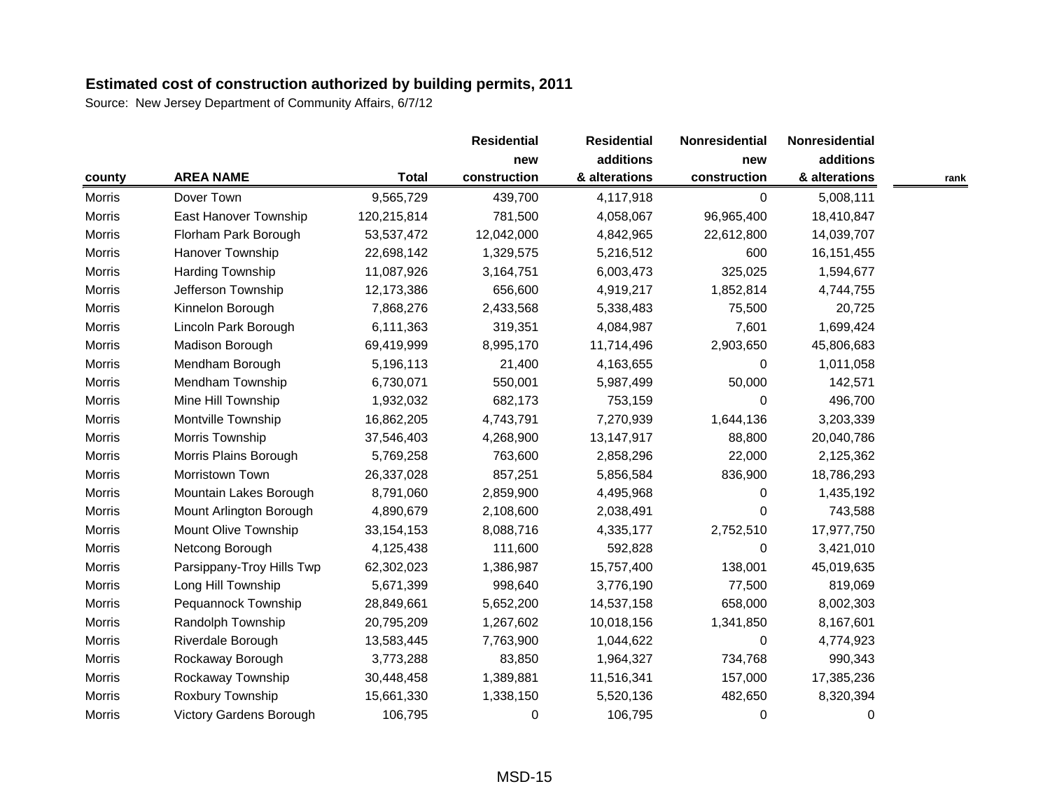|               |                                |              | <b>Residential</b> | <b>Residential</b> | Nonresidential | Nonresidential |      |
|---------------|--------------------------------|--------------|--------------------|--------------------|----------------|----------------|------|
|               |                                |              | new                | additions          | new            | additions      |      |
| county        | <b>AREA NAME</b>               | <b>Total</b> | construction       | & alterations      | construction   | & alterations  | rank |
| <b>Morris</b> | Dover Town                     | 9,565,729    | 439,700            | 4,117,918          | $\Omega$       | 5,008,111      |      |
| <b>Morris</b> | East Hanover Township          | 120,215,814  | 781,500            | 4,058,067          | 96,965,400     | 18,410,847     |      |
| <b>Morris</b> | Florham Park Borough           | 53,537,472   | 12,042,000         | 4,842,965          | 22,612,800     | 14,039,707     |      |
| Morris        | <b>Hanover Township</b>        | 22,698,142   | 1,329,575          | 5,216,512          | 600            | 16, 151, 455   |      |
| <b>Morris</b> | Harding Township               | 11,087,926   | 3,164,751          | 6,003,473          | 325,025        | 1,594,677      |      |
| <b>Morris</b> | Jefferson Township             | 12,173,386   | 656,600            | 4,919,217          | 1,852,814      | 4,744,755      |      |
| <b>Morris</b> | Kinnelon Borough               | 7,868,276    | 2,433,568          | 5,338,483          | 75,500         | 20,725         |      |
| <b>Morris</b> | Lincoln Park Borough           | 6,111,363    | 319,351            | 4,084,987          | 7,601          | 1,699,424      |      |
| <b>Morris</b> | Madison Borough                | 69,419,999   | 8,995,170          | 11,714,496         | 2,903,650      | 45,806,683     |      |
| <b>Morris</b> | Mendham Borough                | 5,196,113    | 21,400             | 4,163,655          | $\Omega$       | 1,011,058      |      |
| <b>Morris</b> | Mendham Township               | 6,730,071    | 550,001            | 5,987,499          | 50,000         | 142,571        |      |
| <b>Morris</b> | Mine Hill Township             | 1,932,032    | 682,173            | 753,159            | 0              | 496,700        |      |
| <b>Morris</b> | Montville Township             | 16,862,205   | 4,743,791          | 7,270,939          | 1,644,136      | 3,203,339      |      |
| <b>Morris</b> | Morris Township                | 37,546,403   | 4,268,900          | 13,147,917         | 88,800         | 20,040,786     |      |
| <b>Morris</b> | Morris Plains Borough          | 5,769,258    | 763,600            | 2,858,296          | 22,000         | 2,125,362      |      |
| <b>Morris</b> | Morristown Town                | 26,337,028   | 857,251            | 5,856,584          | 836,900        | 18,786,293     |      |
| <b>Morris</b> | Mountain Lakes Borough         | 8,791,060    | 2,859,900          | 4,495,968          | 0              | 1,435,192      |      |
| Morris        | Mount Arlington Borough        | 4,890,679    | 2,108,600          | 2,038,491          | 0              | 743,588        |      |
| <b>Morris</b> | Mount Olive Township           | 33, 154, 153 | 8,088,716          | 4,335,177          | 2,752,510      | 17,977,750     |      |
| <b>Morris</b> | Netcong Borough                | 4,125,438    | 111,600            | 592,828            | $\Omega$       | 3,421,010      |      |
| Morris        | Parsippany-Troy Hills Twp      | 62,302,023   | 1,386,987          | 15,757,400         | 138,001        | 45,019,635     |      |
| <b>Morris</b> | Long Hill Township             | 5,671,399    | 998,640            | 3,776,190          | 77,500         | 819,069        |      |
| <b>Morris</b> | Pequannock Township            | 28,849,661   | 5,652,200          | 14,537,158         | 658,000        | 8,002,303      |      |
| Morris        | Randolph Township              | 20,795,209   | 1,267,602          | 10,018,156         | 1,341,850      | 8,167,601      |      |
| <b>Morris</b> | Riverdale Borough              | 13,583,445   | 7,763,900          | 1,044,622          | 0              | 4,774,923      |      |
| <b>Morris</b> | Rockaway Borough               | 3,773,288    | 83,850             | 1,964,327          | 734,768        | 990,343        |      |
| <b>Morris</b> | Rockaway Township              | 30,448,458   | 1,389,881          | 11,516,341         | 157,000        | 17,385,236     |      |
| <b>Morris</b> | Roxbury Township               | 15,661,330   | 1,338,150          | 5,520,136          | 482,650        | 8,320,394      |      |
| <b>Morris</b> | <b>Victory Gardens Borough</b> | 106,795      | 0                  | 106,795            | 0              | 0              |      |
|               |                                |              |                    |                    |                |                |      |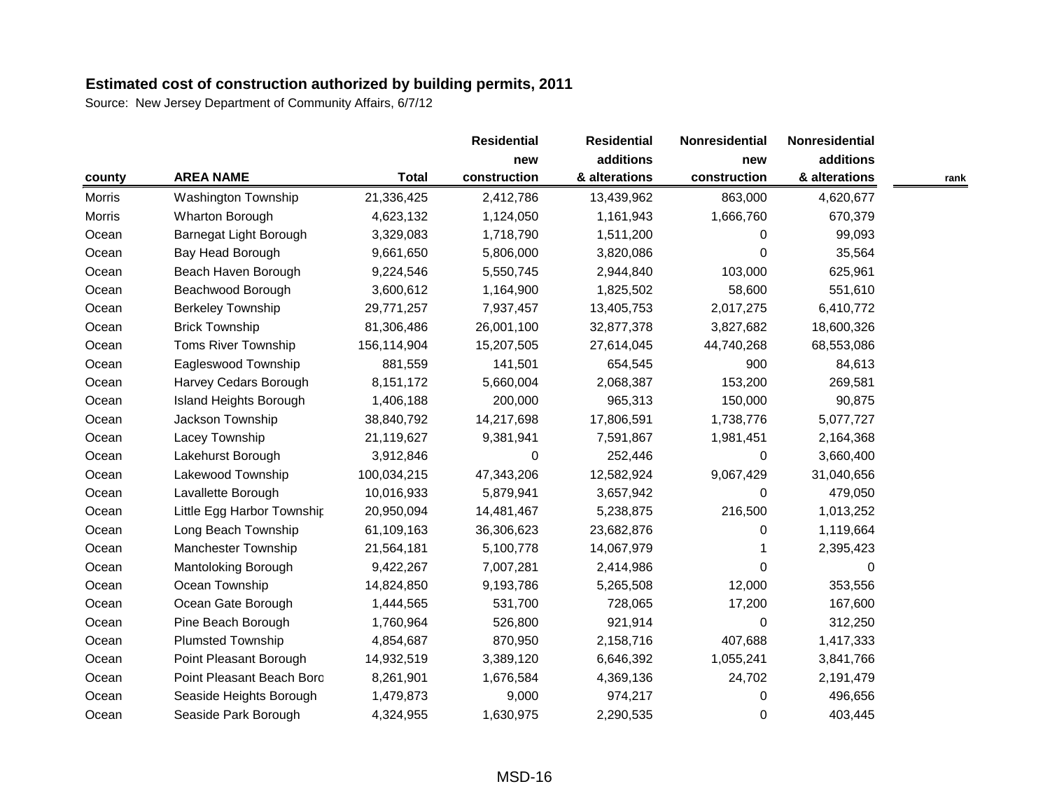|               |                               |              | <b>Residential</b> | <b>Residential</b> | Nonresidential | Nonresidential |      |
|---------------|-------------------------------|--------------|--------------------|--------------------|----------------|----------------|------|
|               |                               |              | new                | additions          | new            | additions      |      |
| county        | <b>AREA NAME</b>              | <b>Total</b> | construction       | & alterations      | construction   | & alterations  | rank |
| Morris        | <b>Washington Township</b>    | 21,336,425   | 2,412,786          | 13,439,962         | 863,000        | 4,620,677      |      |
| <b>Morris</b> | Wharton Borough               | 4,623,132    | 1,124,050          | 1,161,943          | 1,666,760      | 670,379        |      |
| Ocean         | Barnegat Light Borough        | 3,329,083    | 1,718,790          | 1,511,200          | $\Omega$       | 99,093         |      |
| Ocean         | Bay Head Borough              | 9,661,650    | 5,806,000          | 3,820,086          | $\Omega$       | 35,564         |      |
| Ocean         | Beach Haven Borough           | 9,224,546    | 5,550,745          | 2,944,840          | 103,000        | 625,961        |      |
| Ocean         | Beachwood Borough             | 3,600,612    | 1,164,900          | 1,825,502          | 58,600         | 551,610        |      |
| Ocean         | <b>Berkeley Township</b>      | 29,771,257   | 7,937,457          | 13,405,753         | 2,017,275      | 6,410,772      |      |
| Ocean         | <b>Brick Township</b>         | 81,306,486   | 26,001,100         | 32,877,378         | 3,827,682      | 18,600,326     |      |
| Ocean         | Toms River Township           | 156,114,904  | 15,207,505         | 27,614,045         | 44,740,268     | 68,553,086     |      |
| Ocean         | Eagleswood Township           | 881,559      | 141,501            | 654,545            | 900            | 84,613         |      |
| Ocean         | Harvey Cedars Borough         | 8,151,172    | 5,660,004          | 2,068,387          | 153,200        | 269,581        |      |
| Ocean         | <b>Island Heights Borough</b> | 1,406,188    | 200,000            | 965,313            | 150,000        | 90,875         |      |
| Ocean         | Jackson Township              | 38,840,792   | 14,217,698         | 17,806,591         | 1,738,776      | 5,077,727      |      |
| Ocean         | Lacey Township                | 21,119,627   | 9,381,941          | 7,591,867          | 1,981,451      | 2,164,368      |      |
| Ocean         | Lakehurst Borough             | 3,912,846    | 0                  | 252,446            | $\Omega$       | 3,660,400      |      |
| Ocean         | Lakewood Township             | 100,034,215  | 47,343,206         | 12,582,924         | 9,067,429      | 31,040,656     |      |
| Ocean         | Lavallette Borough            | 10,016,933   | 5,879,941          | 3,657,942          | 0              | 479,050        |      |
| Ocean         | Little Egg Harbor Township    | 20,950,094   | 14,481,467         | 5,238,875          | 216,500        | 1,013,252      |      |
| Ocean         | Long Beach Township           | 61,109,163   | 36,306,623         | 23,682,876         | $\Omega$       | 1,119,664      |      |
| Ocean         | <b>Manchester Township</b>    | 21,564,181   | 5,100,778          | 14,067,979         |                | 2,395,423      |      |
| Ocean         | Mantoloking Borough           | 9,422,267    | 7,007,281          | 2,414,986          | $\Omega$       | 0              |      |
| Ocean         | Ocean Township                | 14,824,850   | 9,193,786          | 5,265,508          | 12,000         | 353,556        |      |
| Ocean         | Ocean Gate Borough            | 1,444,565    | 531,700            | 728,065            | 17,200         | 167,600        |      |
| Ocean         | Pine Beach Borough            | 1,760,964    | 526,800            | 921,914            | 0              | 312,250        |      |
| Ocean         | Plumsted Township             | 4,854,687    | 870,950            | 2,158,716          | 407,688        | 1,417,333      |      |
| Ocean         | Point Pleasant Borough        | 14,932,519   | 3,389,120          | 6,646,392          | 1,055,241      | 3,841,766      |      |
| Ocean         | Point Pleasant Beach Boro     | 8,261,901    | 1,676,584          | 4,369,136          | 24,702         | 2,191,479      |      |
| Ocean         | Seaside Heights Borough       | 1,479,873    | 9,000              | 974,217            | 0              | 496,656        |      |
| Ocean         | Seaside Park Borough          | 4,324,955    | 1,630,975          | 2,290,535          | $\Omega$       | 403,445        |      |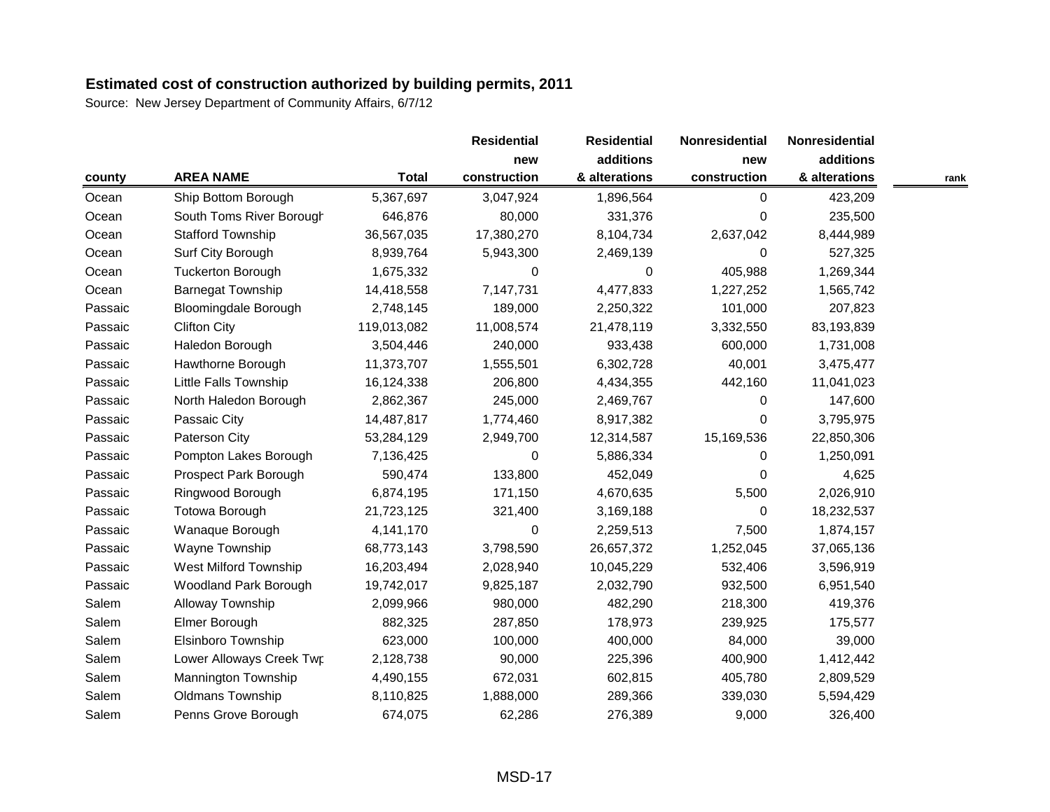|         |                              |              | <b>Residential</b> | <b>Residential</b> | Nonresidential | Nonresidential |      |
|---------|------------------------------|--------------|--------------------|--------------------|----------------|----------------|------|
|         |                              |              | new                | additions          | new            | additions      |      |
| county  | <b>AREA NAME</b>             | <b>Total</b> | construction       | & alterations      | construction   | & alterations  | rank |
| Ocean   | Ship Bottom Borough          | 5,367,697    | 3,047,924          | 1,896,564          | $\Omega$       | 423,209        |      |
| Ocean   | South Toms River Borough     | 646,876      | 80,000             | 331,376            | 0              | 235,500        |      |
| Ocean   | <b>Stafford Township</b>     | 36,567,035   | 17,380,270         | 8,104,734          | 2,637,042      | 8,444,989      |      |
| Ocean   | Surf City Borough            | 8,939,764    | 5,943,300          | 2,469,139          | $\Omega$       | 527,325        |      |
| Ocean   | <b>Tuckerton Borough</b>     | 1,675,332    | 0                  | 0                  | 405,988        | 1,269,344      |      |
| Ocean   | <b>Barnegat Township</b>     | 14,418,558   | 7,147,731          | 4,477,833          | 1,227,252      | 1,565,742      |      |
| Passaic | <b>Bloomingdale Borough</b>  | 2,748,145    | 189,000            | 2,250,322          | 101,000        | 207,823        |      |
| Passaic | <b>Clifton City</b>          | 119,013,082  | 11,008,574         | 21,478,119         | 3,332,550      | 83,193,839     |      |
| Passaic | Haledon Borough              | 3,504,446    | 240,000            | 933,438            | 600,000        | 1,731,008      |      |
| Passaic | Hawthorne Borough            | 11,373,707   | 1,555,501          | 6,302,728          | 40,001         | 3,475,477      |      |
| Passaic | <b>Little Falls Township</b> | 16,124,338   | 206,800            | 4,434,355          | 442,160        | 11,041,023     |      |
| Passaic | North Haledon Borough        | 2,862,367    | 245,000            | 2,469,767          | 0              | 147,600        |      |
| Passaic | Passaic City                 | 14,487,817   | 1,774,460          | 8,917,382          | $\Omega$       | 3,795,975      |      |
| Passaic | Paterson City                | 53,284,129   | 2,949,700          | 12,314,587         | 15,169,536     | 22,850,306     |      |
| Passaic | Pompton Lakes Borough        | 7,136,425    | 0                  | 5,886,334          | $\Omega$       | 1,250,091      |      |
| Passaic | Prospect Park Borough        | 590,474      | 133,800            | 452,049            | $\Omega$       | 4,625          |      |
| Passaic | Ringwood Borough             | 6,874,195    | 171,150            | 4,670,635          | 5,500          | 2,026,910      |      |
| Passaic | Totowa Borough               | 21,723,125   | 321,400            | 3,169,188          | 0              | 18,232,537     |      |
| Passaic | Wanaque Borough              | 4,141,170    | 0                  | 2,259,513          | 7,500          | 1,874,157      |      |
| Passaic | Wayne Township               | 68,773,143   | 3,798,590          | 26,657,372         | 1,252,045      | 37,065,136     |      |
| Passaic | West Milford Township        | 16,203,494   | 2,028,940          | 10,045,229         | 532,406        | 3,596,919      |      |
| Passaic | <b>Woodland Park Borough</b> | 19,742,017   | 9,825,187          | 2,032,790          | 932,500        | 6,951,540      |      |
| Salem   | Alloway Township             | 2,099,966    | 980,000            | 482,290            | 218,300        | 419,376        |      |
| Salem   | Elmer Borough                | 882,325      | 287,850            | 178,973            | 239,925        | 175,577        |      |
| Salem   | Elsinboro Township           | 623,000      | 100,000            | 400,000            | 84,000         | 39,000         |      |
| Salem   | Lower Alloways Creek Twp     | 2,128,738    | 90,000             | 225,396            | 400,900        | 1,412,442      |      |
| Salem   | Mannington Township          | 4,490,155    | 672,031            | 602,815            | 405,780        | 2,809,529      |      |
| Salem   | <b>Oldmans Township</b>      | 8,110,825    | 1,888,000          | 289,366            | 339,030        | 5,594,429      |      |
| Salem   | Penns Grove Borough          | 674,075      | 62,286             | 276,389            | 9,000          | 326,400        |      |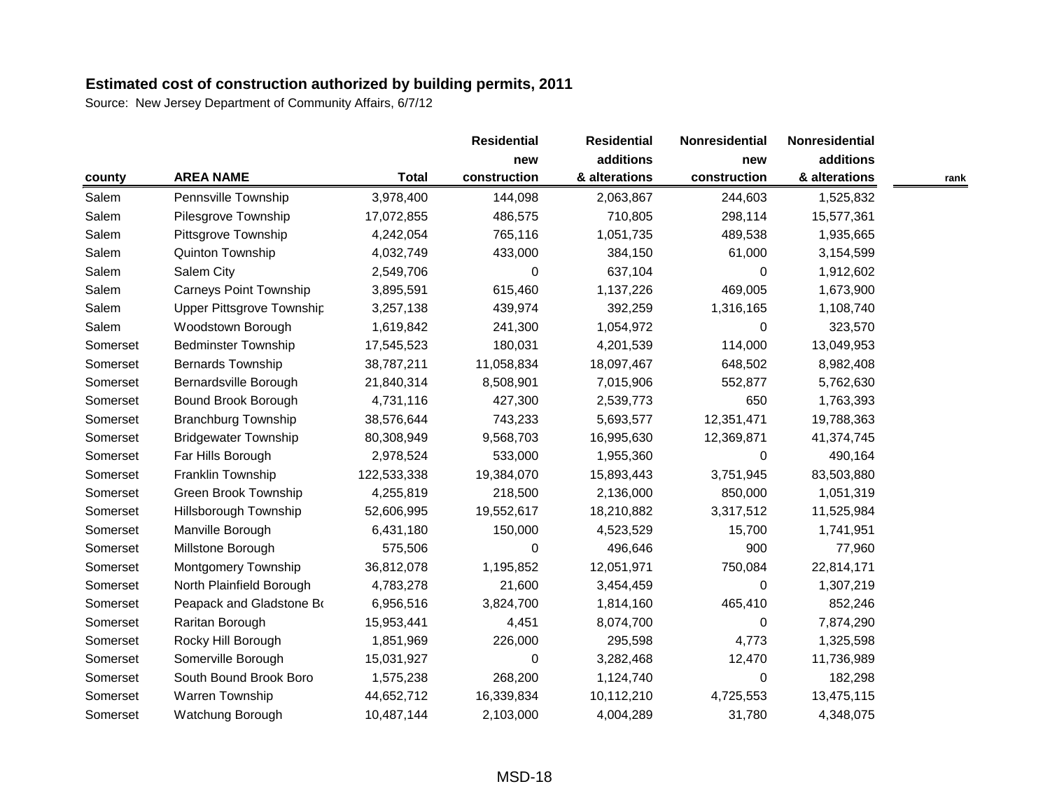|          |                               |              | <b>Residential</b> | <b>Residential</b> | Nonresidential | Nonresidential |      |
|----------|-------------------------------|--------------|--------------------|--------------------|----------------|----------------|------|
|          |                               |              | new                | additions          | new            | additions      |      |
| county   | <b>AREA NAME</b>              | <b>Total</b> | construction       | & alterations      | construction   | & alterations  | rank |
| Salem    | Pennsville Township           | 3,978,400    | 144,098            | 2,063,867          | 244,603        | 1,525,832      |      |
| Salem    | Pilesgrove Township           | 17,072,855   | 486,575            | 710,805            | 298,114        | 15,577,361     |      |
| Salem    | Pittsgrove Township           | 4,242,054    | 765,116            | 1,051,735          | 489,538        | 1,935,665      |      |
| Salem    | Quinton Township              | 4,032,749    | 433,000            | 384,150            | 61,000         | 3,154,599      |      |
| Salem    | Salem City                    | 2,549,706    | $\Omega$           | 637,104            | 0              | 1,912,602      |      |
| Salem    | <b>Carneys Point Township</b> | 3,895,591    | 615,460            | 1,137,226          | 469,005        | 1,673,900      |      |
| Salem    | Upper Pittsgrove Township     | 3,257,138    | 439,974            | 392,259            | 1,316,165      | 1,108,740      |      |
| Salem    | Woodstown Borough             | 1,619,842    | 241,300            | 1,054,972          | $\Omega$       | 323,570        |      |
| Somerset | <b>Bedminster Township</b>    | 17,545,523   | 180,031            | 4,201,539          | 114,000        | 13,049,953     |      |
| Somerset | <b>Bernards Township</b>      | 38,787,211   | 11,058,834         | 18,097,467         | 648,502        | 8,982,408      |      |
| Somerset | Bernardsville Borough         | 21,840,314   | 8,508,901          | 7,015,906          | 552,877        | 5,762,630      |      |
| Somerset | Bound Brook Borough           | 4,731,116    | 427,300            | 2,539,773          | 650            | 1,763,393      |      |
| Somerset | <b>Branchburg Township</b>    | 38,576,644   | 743,233            | 5,693,577          | 12,351,471     | 19,788,363     |      |
| Somerset | <b>Bridgewater Township</b>   | 80,308,949   | 9,568,703          | 16,995,630         | 12,369,871     | 41,374,745     |      |
| Somerset | Far Hills Borough             | 2,978,524    | 533,000            | 1,955,360          | $\Omega$       | 490,164        |      |
| Somerset | Franklin Township             | 122,533,338  | 19,384,070         | 15,893,443         | 3,751,945      | 83,503,880     |      |
| Somerset | Green Brook Township          | 4,255,819    | 218,500            | 2,136,000          | 850,000        | 1,051,319      |      |
| Somerset | Hillsborough Township         | 52,606,995   | 19,552,617         | 18,210,882         | 3,317,512      | 11,525,984     |      |
| Somerset | Manville Borough              | 6,431,180    | 150,000            | 4,523,529          | 15,700         | 1,741,951      |      |
| Somerset | Millstone Borough             | 575,506      | 0                  | 496,646            | 900            | 77,960         |      |
| Somerset | <b>Montgomery Township</b>    | 36,812,078   | 1,195,852          | 12,051,971         | 750,084        | 22,814,171     |      |
| Somerset | North Plainfield Borough      | 4,783,278    | 21,600             | 3,454,459          | 0              | 1,307,219      |      |
| Somerset | Peapack and Gladstone Bo      | 6,956,516    | 3,824,700          | 1,814,160          | 465,410        | 852,246        |      |
| Somerset | Raritan Borough               | 15,953,441   | 4,451              | 8,074,700          | $\Omega$       | 7,874,290      |      |
| Somerset | Rocky Hill Borough            | 1,851,969    | 226,000            | 295,598            | 4,773          | 1,325,598      |      |
| Somerset | Somerville Borough            | 15,031,927   | 0                  | 3,282,468          | 12,470         | 11,736,989     |      |
| Somerset | South Bound Brook Boro        | 1,575,238    | 268,200            | 1,124,740          | 0              | 182,298        |      |
| Somerset | Warren Township               | 44,652,712   | 16,339,834         | 10,112,210         | 4,725,553      | 13,475,115     |      |
| Somerset | Watchung Borough              | 10,487,144   | 2,103,000          | 4,004,289          | 31,780         | 4,348,075      |      |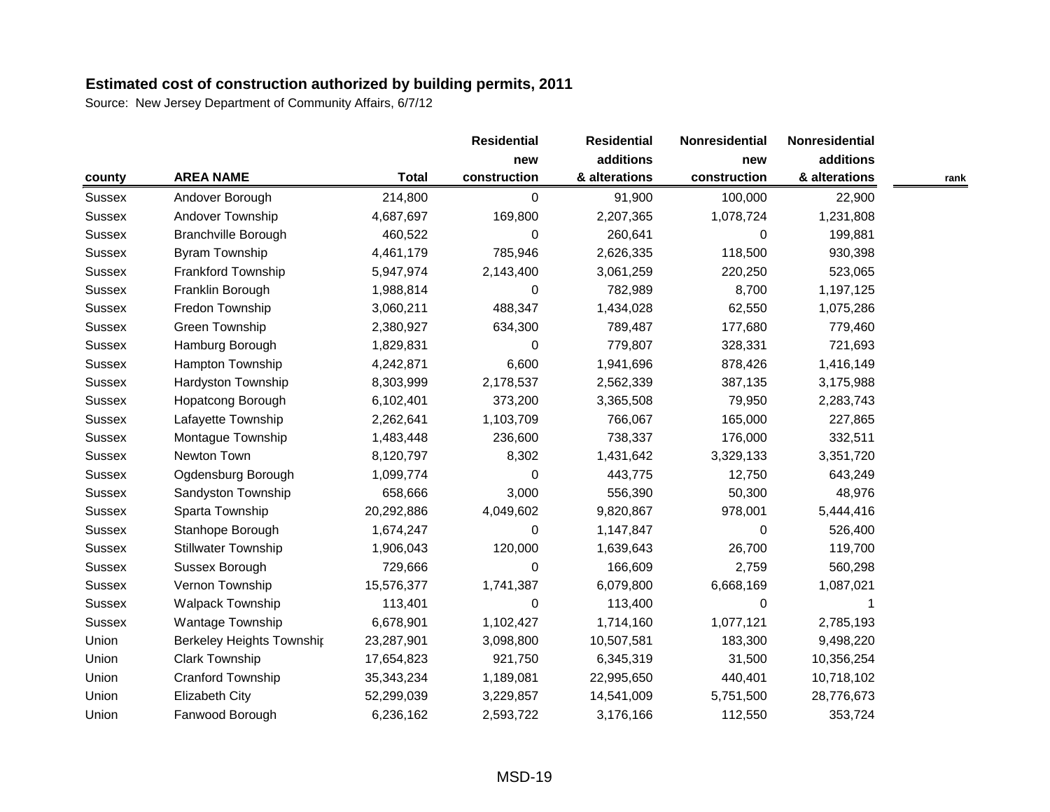|               |                                  |              | <b>Residential</b> | <b>Residential</b> | Nonresidential | Nonresidential |      |
|---------------|----------------------------------|--------------|--------------------|--------------------|----------------|----------------|------|
|               |                                  |              | new                | additions          | new            | additions      |      |
| county        | <b>AREA NAME</b>                 | <b>Total</b> | construction       | & alterations      | construction   | & alterations  | rank |
| Sussex        | Andover Borough                  | 214,800      | 0                  | 91,900             | 100,000        | 22,900         |      |
| <b>Sussex</b> | Andover Township                 | 4,687,697    | 169,800            | 2,207,365          | 1,078,724      | 1,231,808      |      |
| <b>Sussex</b> | <b>Branchville Borough</b>       | 460,522      | 0                  | 260,641            | 0              | 199,881        |      |
| <b>Sussex</b> | Byram Township                   | 4,461,179    | 785,946            | 2,626,335          | 118,500        | 930,398        |      |
| <b>Sussex</b> | Frankford Township               | 5,947,974    | 2,143,400          | 3,061,259          | 220,250        | 523,065        |      |
| <b>Sussex</b> | Franklin Borough                 | 1,988,814    | 0                  | 782,989            | 8,700          | 1,197,125      |      |
| <b>Sussex</b> | Fredon Township                  | 3,060,211    | 488,347            | 1,434,028          | 62,550         | 1,075,286      |      |
| <b>Sussex</b> | <b>Green Township</b>            | 2,380,927    | 634,300            | 789,487            | 177,680        | 779,460        |      |
| <b>Sussex</b> | Hamburg Borough                  | 1,829,831    | 0                  | 779,807            | 328,331        | 721,693        |      |
| <b>Sussex</b> | <b>Hampton Township</b>          | 4,242,871    | 6,600              | 1,941,696          | 878,426        | 1,416,149      |      |
| <b>Sussex</b> | Hardyston Township               | 8,303,999    | 2,178,537          | 2,562,339          | 387,135        | 3,175,988      |      |
| <b>Sussex</b> | Hopatcong Borough                | 6,102,401    | 373,200            | 3,365,508          | 79,950         | 2,283,743      |      |
| <b>Sussex</b> | Lafayette Township               | 2,262,641    | 1,103,709          | 766,067            | 165,000        | 227,865        |      |
| <b>Sussex</b> | Montague Township                | 1,483,448    | 236,600            | 738,337            | 176,000        | 332,511        |      |
| <b>Sussex</b> | Newton Town                      | 8,120,797    | 8,302              | 1,431,642          | 3,329,133      | 3,351,720      |      |
| <b>Sussex</b> | Ogdensburg Borough               | 1,099,774    | 0                  | 443,775            | 12,750         | 643,249        |      |
| <b>Sussex</b> | Sandyston Township               | 658,666      | 3,000              | 556,390            | 50,300         | 48,976         |      |
| <b>Sussex</b> | Sparta Township                  | 20,292,886   | 4,049,602          | 9,820,867          | 978,001        | 5,444,416      |      |
| <b>Sussex</b> | Stanhope Borough                 | 1,674,247    | 0                  | 1,147,847          | $\Omega$       | 526,400        |      |
| <b>Sussex</b> | <b>Stillwater Township</b>       | 1,906,043    | 120,000            | 1,639,643          | 26,700         | 119,700        |      |
| <b>Sussex</b> | Sussex Borough                   | 729,666      | 0                  | 166,609            | 2,759          | 560,298        |      |
| <b>Sussex</b> | Vernon Township                  | 15,576,377   | 1,741,387          | 6,079,800          | 6,668,169      | 1,087,021      |      |
| <b>Sussex</b> | <b>Walpack Township</b>          | 113,401      | 0                  | 113,400            | $\mathbf 0$    |                |      |
| <b>Sussex</b> | Wantage Township                 | 6,678,901    | 1,102,427          | 1,714,160          | 1,077,121      | 2,785,193      |      |
| Union         | <b>Berkeley Heights Township</b> | 23,287,901   | 3,098,800          | 10,507,581         | 183,300        | 9,498,220      |      |
| Union         | Clark Township                   | 17,654,823   | 921,750            | 6,345,319          | 31,500         | 10,356,254     |      |
| Union         | Cranford Township                | 35,343,234   | 1,189,081          | 22,995,650         | 440,401        | 10,718,102     |      |
| Union         | Elizabeth City                   | 52,299,039   | 3,229,857          | 14,541,009         | 5,751,500      | 28,776,673     |      |
| Union         | Fanwood Borough                  | 6,236,162    | 2,593,722          | 3,176,166          | 112,550        | 353,724        |      |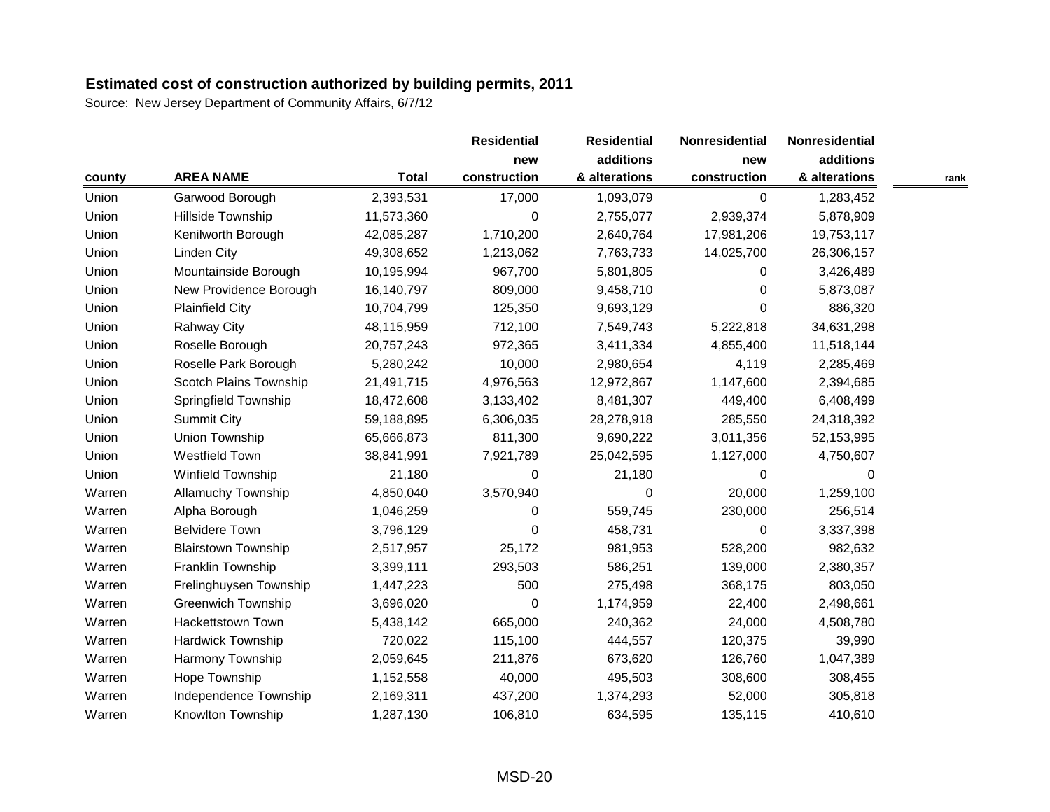Source: New Jersey Department of Community Affairs, 6/7/12

|        |                            |              | <b>Residential</b> | <b>Residential</b> | Nonresidential | Nonresidential |      |
|--------|----------------------------|--------------|--------------------|--------------------|----------------|----------------|------|
|        |                            |              | new                | additions          | new            | additions      |      |
| county | <b>AREA NAME</b>           | <b>Total</b> | construction       | & alterations      | construction   | & alterations  | rank |
| Union  | Garwood Borough            | 2,393,531    | 17,000             | 1,093,079          | $\mathbf 0$    | 1,283,452      |      |
| Union  | Hillside Township          | 11,573,360   | 0                  | 2,755,077          | 2,939,374      | 5,878,909      |      |
| Union  | Kenilworth Borough         | 42,085,287   | 1,710,200          | 2,640,764          | 17,981,206     | 19,753,117     |      |
| Union  | <b>Linden City</b>         | 49,308,652   | 1,213,062          | 7,763,733          | 14,025,700     | 26,306,157     |      |
| Union  | Mountainside Borough       | 10,195,994   | 967,700            | 5,801,805          | 0              | 3,426,489      |      |
| Union  | New Providence Borough     | 16,140,797   | 809,000            | 9,458,710          | $\Omega$       | 5,873,087      |      |
| Union  | <b>Plainfield City</b>     | 10,704,799   | 125,350            | 9,693,129          | 0              | 886,320        |      |
| Union  | <b>Rahway City</b>         | 48,115,959   | 712,100            | 7,549,743          | 5,222,818      | 34,631,298     |      |
| Union  | Roselle Borough            | 20,757,243   | 972,365            | 3,411,334          | 4,855,400      | 11,518,144     |      |
| Union  | Roselle Park Borough       | 5,280,242    | 10,000             | 2,980,654          | 4,119          | 2,285,469      |      |
| Union  | Scotch Plains Township     | 21,491,715   | 4,976,563          | 12,972,867         | 1,147,600      | 2,394,685      |      |
| Union  | Springfield Township       | 18,472,608   | 3,133,402          | 8,481,307          | 449,400        | 6,408,499      |      |
| Union  | <b>Summit City</b>         | 59,188,895   | 6,306,035          | 28,278,918         | 285,550        | 24,318,392     |      |
| Union  | Union Township             | 65,666,873   | 811,300            | 9,690,222          | 3,011,356      | 52,153,995     |      |
| Union  | <b>Westfield Town</b>      | 38,841,991   | 7,921,789          | 25,042,595         | 1,127,000      | 4,750,607      |      |
| Union  | Winfield Township          | 21,180       | 0                  | 21,180             | 0              | 0              |      |
| Warren | <b>Allamuchy Township</b>  | 4,850,040    | 3,570,940          | 0                  | 20,000         | 1,259,100      |      |
| Warren | Alpha Borough              | 1,046,259    | 0                  | 559,745            | 230,000        | 256,514        |      |
| Warren | <b>Belvidere Town</b>      | 3,796,129    | 0                  | 458,731            | 0              | 3,337,398      |      |
| Warren | <b>Blairstown Township</b> | 2,517,957    | 25,172             | 981,953            | 528,200        | 982,632        |      |
| Warren | Franklin Township          | 3,399,111    | 293,503            | 586,251            | 139,000        | 2,380,357      |      |
| Warren | Frelinghuysen Township     | 1,447,223    | 500                | 275,498            | 368,175        | 803,050        |      |
| Warren | <b>Greenwich Township</b>  | 3,696,020    | 0                  | 1,174,959          | 22,400         | 2,498,661      |      |
| Warren | Hackettstown Town          | 5,438,142    | 665,000            | 240,362            | 24,000         | 4,508,780      |      |
| Warren | <b>Hardwick Township</b>   | 720,022      | 115,100            | 444,557            | 120,375        | 39,990         |      |
| Warren | Harmony Township           | 2,059,645    | 211,876            | 673,620            | 126,760        | 1,047,389      |      |
| Warren | Hope Township              | 1,152,558    | 40,000             | 495,503            | 308,600        | 308,455        |      |
| Warren | Independence Township      | 2,169,311    | 437,200            | 1,374,293          | 52,000         | 305,818        |      |
| Warren | Knowlton Township          | 1,287,130    | 106,810            | 634,595            | 135,115        | 410,610        |      |

MSD-20